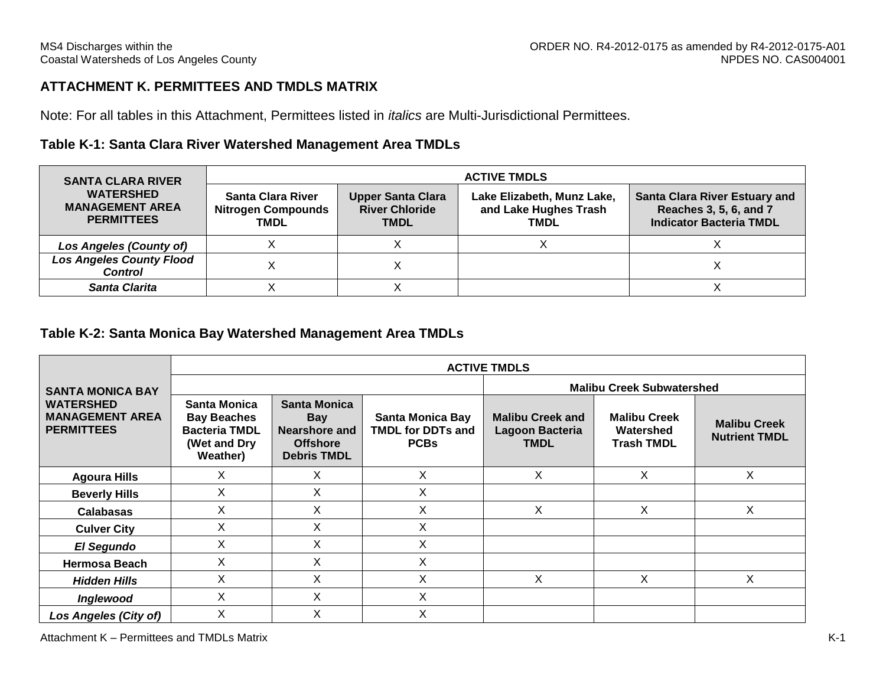# **ATTACHMENT K. PERMITTEES AND TMDLS MATRIX**

Note: For all tables in this Attachment, Permittees listed in *italics* are Multi-Jurisdictional Permittees.

## **Table K-1: Santa Clara River Watershed Management Area TMDLs**

| <b>SANTA CLARA RIVER</b>                                        | <b>ACTIVE TMDLS</b>                                                  |                                                                  |                                                                    |                                                                                                  |  |  |  |  |
|-----------------------------------------------------------------|----------------------------------------------------------------------|------------------------------------------------------------------|--------------------------------------------------------------------|--------------------------------------------------------------------------------------------------|--|--|--|--|
| <b>WATERSHED</b><br><b>MANAGEMENT AREA</b><br><b>PERMITTEES</b> | <b>Santa Clara River</b><br><b>Nitrogen Compounds</b><br><b>TMDL</b> | <b>Upper Santa Clara</b><br><b>River Chloride</b><br><b>TMDL</b> | Lake Elizabeth, Munz Lake,<br>and Lake Hughes Trash<br><b>TMDL</b> | <b>Santa Clara River Estuary and</b><br>Reaches 3, 5, 6, and 7<br><b>Indicator Bacteria TMDL</b> |  |  |  |  |
| <b>Los Angeles (County of)</b>                                  |                                                                      |                                                                  |                                                                    |                                                                                                  |  |  |  |  |
| <b>Los Angeles County Flood</b><br><b>Control</b>               |                                                                      |                                                                  |                                                                    |                                                                                                  |  |  |  |  |
| Santa Clarita                                                   |                                                                      |                                                                  |                                                                    |                                                                                                  |  |  |  |  |

#### **Table K-2: Santa Monica Bay Watershed Management Area TMDLs**

|                                                                 | <b>ACTIVE TMDLS</b>                                                                    |                                                                                      |                                                                    |                                                           |                                                       |                                             |  |  |  |  |
|-----------------------------------------------------------------|----------------------------------------------------------------------------------------|--------------------------------------------------------------------------------------|--------------------------------------------------------------------|-----------------------------------------------------------|-------------------------------------------------------|---------------------------------------------|--|--|--|--|
| <b>SANTA MONICA BAY</b>                                         |                                                                                        |                                                                                      |                                                                    | <b>Malibu Creek Subwatershed</b>                          |                                                       |                                             |  |  |  |  |
| <b>WATERSHED</b><br><b>MANAGEMENT AREA</b><br><b>PERMITTEES</b> | Santa Monica<br><b>Bay Beaches</b><br><b>Bacteria TMDL</b><br>(Wet and Dry<br>Weather) | Santa Monica<br><b>Bay</b><br>Nearshore and<br><b>Offshore</b><br><b>Debris TMDL</b> | <b>Santa Monica Bay</b><br><b>TMDL for DDTs and</b><br><b>PCBs</b> | <b>Malibu Creek and</b><br>Lagoon Bacteria<br><b>TMDL</b> | <b>Malibu Creek</b><br>Watershed<br><b>Trash TMDL</b> | <b>Malibu Creek</b><br><b>Nutrient TMDL</b> |  |  |  |  |
| <b>Agoura Hills</b>                                             | X                                                                                      | Χ                                                                                    | X                                                                  | X                                                         | X                                                     | X.                                          |  |  |  |  |
| <b>Beverly Hills</b>                                            | X                                                                                      | X                                                                                    | X                                                                  |                                                           |                                                       |                                             |  |  |  |  |
| <b>Calabasas</b>                                                | X                                                                                      | Χ                                                                                    | Χ                                                                  | Х                                                         | X                                                     | X                                           |  |  |  |  |
| <b>Culver City</b>                                              | X                                                                                      | X                                                                                    | Χ                                                                  |                                                           |                                                       |                                             |  |  |  |  |
| El Segundo                                                      | Χ                                                                                      | X                                                                                    | Χ                                                                  |                                                           |                                                       |                                             |  |  |  |  |
| <b>Hermosa Beach</b>                                            | X                                                                                      | X.                                                                                   | Χ                                                                  |                                                           |                                                       |                                             |  |  |  |  |
| <b>Hidden Hills</b>                                             | X                                                                                      | X                                                                                    | X                                                                  | X                                                         | X                                                     | X.                                          |  |  |  |  |
| Inglewood                                                       | X                                                                                      | X                                                                                    | Χ                                                                  |                                                           |                                                       |                                             |  |  |  |  |
| <b>Los Angeles (City of)</b>                                    | X                                                                                      | X                                                                                    | Χ                                                                  |                                                           |                                                       |                                             |  |  |  |  |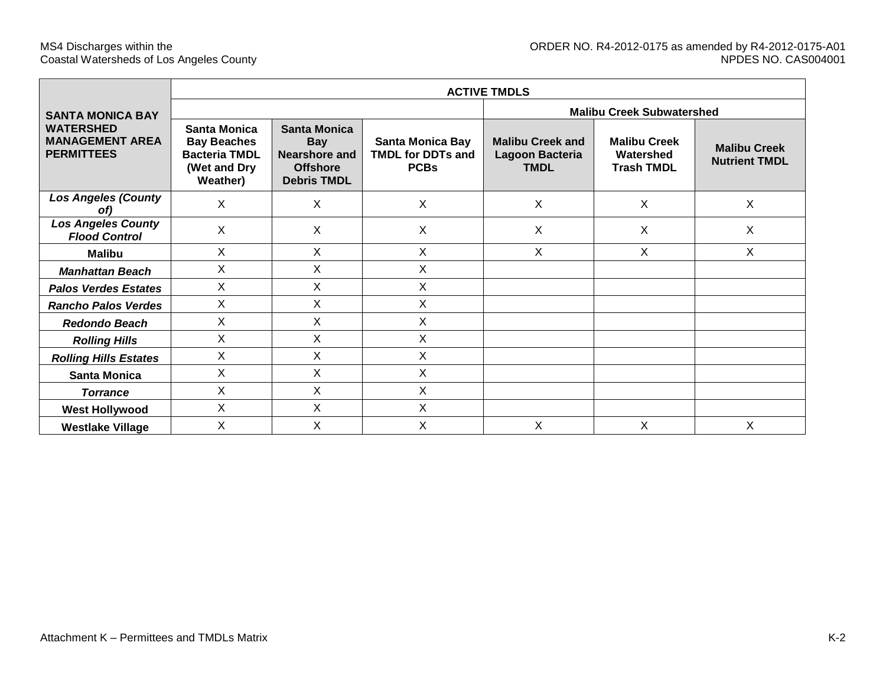|                                                                 | <b>ACTIVE TMDLS</b>                                                                    |                                                                                             |                                                                    |                                                           |                                                       |                                             |  |  |  |  |
|-----------------------------------------------------------------|----------------------------------------------------------------------------------------|---------------------------------------------------------------------------------------------|--------------------------------------------------------------------|-----------------------------------------------------------|-------------------------------------------------------|---------------------------------------------|--|--|--|--|
| <b>SANTA MONICA BAY</b>                                         |                                                                                        |                                                                                             |                                                                    | <b>Malibu Creek Subwatershed</b>                          |                                                       |                                             |  |  |  |  |
| <b>WATERSHED</b><br><b>MANAGEMENT AREA</b><br><b>PERMITTEES</b> | Santa Monica<br><b>Bay Beaches</b><br><b>Bacteria TMDL</b><br>(Wet and Dry<br>Weather) | <b>Santa Monica</b><br><b>Bay</b><br>Nearshore and<br><b>Offshore</b><br><b>Debris TMDL</b> | <b>Santa Monica Bay</b><br><b>TMDL for DDTs and</b><br><b>PCBs</b> | <b>Malibu Creek and</b><br>Lagoon Bacteria<br><b>TMDL</b> | <b>Malibu Creek</b><br>Watershed<br><b>Trash TMDL</b> | <b>Malibu Creek</b><br><b>Nutrient TMDL</b> |  |  |  |  |
| <b>Los Angeles (County</b><br>of)                               | X                                                                                      | X                                                                                           | X                                                                  | $\sf X$                                                   | X                                                     | X                                           |  |  |  |  |
| <b>Los Angeles County</b><br><b>Flood Control</b>               | X                                                                                      | X.                                                                                          | X                                                                  | X                                                         | X                                                     | X                                           |  |  |  |  |
| <b>Malibu</b>                                                   | $\mathsf{X}$                                                                           | $\mathsf{X}$                                                                                | X                                                                  | $\mathsf{X}$                                              | X                                                     | X                                           |  |  |  |  |
| <b>Manhattan Beach</b>                                          | X                                                                                      | X                                                                                           | X                                                                  |                                                           |                                                       |                                             |  |  |  |  |
| <b>Palos Verdes Estates</b>                                     | X                                                                                      | X                                                                                           | X                                                                  |                                                           |                                                       |                                             |  |  |  |  |
| <b>Rancho Palos Verdes</b>                                      | $\mathsf{X}$                                                                           | $\times$                                                                                    | X                                                                  |                                                           |                                                       |                                             |  |  |  |  |
| <b>Redondo Beach</b>                                            | X                                                                                      | X                                                                                           | X                                                                  |                                                           |                                                       |                                             |  |  |  |  |
| <b>Rolling Hills</b>                                            | X                                                                                      | X                                                                                           | X                                                                  |                                                           |                                                       |                                             |  |  |  |  |
| <b>Rolling Hills Estates</b>                                    | $\mathsf{X}$                                                                           | $\mathsf{X}$                                                                                | X                                                                  |                                                           |                                                       |                                             |  |  |  |  |
| <b>Santa Monica</b>                                             | X                                                                                      | X                                                                                           | X                                                                  |                                                           |                                                       |                                             |  |  |  |  |
| <b>Torrance</b>                                                 | X                                                                                      | X                                                                                           | X                                                                  |                                                           |                                                       |                                             |  |  |  |  |
| <b>West Hollywood</b>                                           | X                                                                                      | X                                                                                           | X                                                                  |                                                           |                                                       |                                             |  |  |  |  |
| <b>Westlake Village</b>                                         | X                                                                                      | X                                                                                           | X                                                                  | X                                                         | X                                                     | X                                           |  |  |  |  |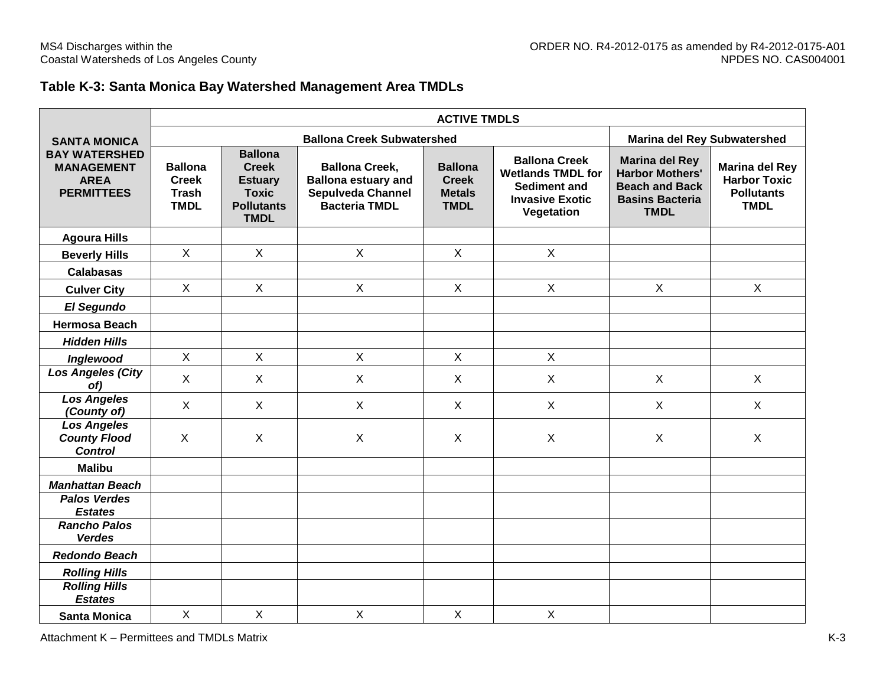## **Table K-3: Santa Monica Bay Watershed Management Area TMDLs**

|                                                                               |                                                               | <b>ACTIVE TMDLS</b>                                                                                  |                                                                                                  |                                                                |                                                                                                                 |                                                                                                                   |                                                                                  |  |  |  |  |
|-------------------------------------------------------------------------------|---------------------------------------------------------------|------------------------------------------------------------------------------------------------------|--------------------------------------------------------------------------------------------------|----------------------------------------------------------------|-----------------------------------------------------------------------------------------------------------------|-------------------------------------------------------------------------------------------------------------------|----------------------------------------------------------------------------------|--|--|--|--|
| <b>SANTA MONICA</b>                                                           |                                                               |                                                                                                      | <b>Marina del Rey Subwatershed</b>                                                               |                                                                |                                                                                                                 |                                                                                                                   |                                                                                  |  |  |  |  |
| <b>BAY WATERSHED</b><br><b>MANAGEMENT</b><br><b>AREA</b><br><b>PERMITTEES</b> | <b>Ballona</b><br><b>Creek</b><br><b>Trash</b><br><b>TMDL</b> | <b>Ballona</b><br><b>Creek</b><br><b>Estuary</b><br><b>Toxic</b><br><b>Pollutants</b><br><b>TMDL</b> | <b>Ballona Creek,</b><br><b>Ballona estuary and</b><br>Sepulveda Channel<br><b>Bacteria TMDL</b> | <b>Ballona</b><br><b>Creek</b><br><b>Metals</b><br><b>TMDL</b> | <b>Ballona Creek</b><br><b>Wetlands TMDL for</b><br><b>Sediment and</b><br><b>Invasive Exotic</b><br>Vegetation | <b>Marina del Rey</b><br><b>Harbor Mothers'</b><br><b>Beach and Back</b><br><b>Basins Bacteria</b><br><b>TMDL</b> | <b>Marina del Rey</b><br><b>Harbor Toxic</b><br><b>Pollutants</b><br><b>TMDL</b> |  |  |  |  |
| <b>Agoura Hills</b>                                                           |                                                               |                                                                                                      |                                                                                                  |                                                                |                                                                                                                 |                                                                                                                   |                                                                                  |  |  |  |  |
| <b>Beverly Hills</b>                                                          | $\mathsf{X}$                                                  | $\mathsf{X}$                                                                                         | $\pmb{\times}$                                                                                   | $\mathsf{X}$                                                   | $\mathsf{X}$                                                                                                    |                                                                                                                   |                                                                                  |  |  |  |  |
| <b>Calabasas</b>                                                              |                                                               |                                                                                                      |                                                                                                  |                                                                |                                                                                                                 |                                                                                                                   |                                                                                  |  |  |  |  |
| <b>Culver City</b>                                                            | $\pmb{\times}$                                                | $\mathsf{X}$                                                                                         | $\mathsf X$                                                                                      | $\mathsf{X}$                                                   | $\mathsf X$                                                                                                     | $\mathsf X$                                                                                                       | $\mathsf X$                                                                      |  |  |  |  |
| El Segundo                                                                    |                                                               |                                                                                                      |                                                                                                  |                                                                |                                                                                                                 |                                                                                                                   |                                                                                  |  |  |  |  |
| <b>Hermosa Beach</b>                                                          |                                                               |                                                                                                      |                                                                                                  |                                                                |                                                                                                                 |                                                                                                                   |                                                                                  |  |  |  |  |
| <b>Hidden Hills</b>                                                           |                                                               |                                                                                                      |                                                                                                  |                                                                |                                                                                                                 |                                                                                                                   |                                                                                  |  |  |  |  |
| Inglewood                                                                     | $\mathsf{X}$                                                  | $\mathsf{X}$                                                                                         | $\mathsf{X}$                                                                                     | $\mathsf{X}$                                                   | $\mathsf{X}$                                                                                                    |                                                                                                                   |                                                                                  |  |  |  |  |
| <b>Los Angeles (City</b><br>of)                                               | X                                                             | $\sf X$                                                                                              | $\mathsf{X}$                                                                                     | $\mathsf{X}$                                                   | $\sf X$                                                                                                         | $\sf X$                                                                                                           | X                                                                                |  |  |  |  |
| <b>Los Angeles</b><br>(County of)                                             | $\boldsymbol{\mathsf{X}}$                                     | $\sf X$                                                                                              | $\boldsymbol{X}$                                                                                 | $\mathsf{X}$                                                   | $\sf X$                                                                                                         | $\boldsymbol{\mathsf{X}}$                                                                                         | X                                                                                |  |  |  |  |
| <b>Los Angeles</b><br><b>County Flood</b><br><b>Control</b>                   | X                                                             | $\sf X$                                                                                              | $\sf X$                                                                                          | X                                                              | X                                                                                                               | $\boldsymbol{\mathsf{X}}$                                                                                         | X                                                                                |  |  |  |  |
| <b>Malibu</b>                                                                 |                                                               |                                                                                                      |                                                                                                  |                                                                |                                                                                                                 |                                                                                                                   |                                                                                  |  |  |  |  |
| <b>Manhattan Beach</b>                                                        |                                                               |                                                                                                      |                                                                                                  |                                                                |                                                                                                                 |                                                                                                                   |                                                                                  |  |  |  |  |
| <b>Palos Verdes</b><br><b>Estates</b>                                         |                                                               |                                                                                                      |                                                                                                  |                                                                |                                                                                                                 |                                                                                                                   |                                                                                  |  |  |  |  |
| <b>Rancho Palos</b><br><b>Verdes</b>                                          |                                                               |                                                                                                      |                                                                                                  |                                                                |                                                                                                                 |                                                                                                                   |                                                                                  |  |  |  |  |
| <b>Redondo Beach</b>                                                          |                                                               |                                                                                                      |                                                                                                  |                                                                |                                                                                                                 |                                                                                                                   |                                                                                  |  |  |  |  |
| <b>Rolling Hills</b>                                                          |                                                               |                                                                                                      |                                                                                                  |                                                                |                                                                                                                 |                                                                                                                   |                                                                                  |  |  |  |  |
| <b>Rolling Hills</b><br><b>Estates</b>                                        |                                                               |                                                                                                      |                                                                                                  |                                                                |                                                                                                                 |                                                                                                                   |                                                                                  |  |  |  |  |
| <b>Santa Monica</b>                                                           | $\mathsf{X}$                                                  | $\mathsf{X}$                                                                                         | $\mathsf{X}$                                                                                     | $\mathsf{X}$                                                   | $\mathsf{X}$                                                                                                    |                                                                                                                   |                                                                                  |  |  |  |  |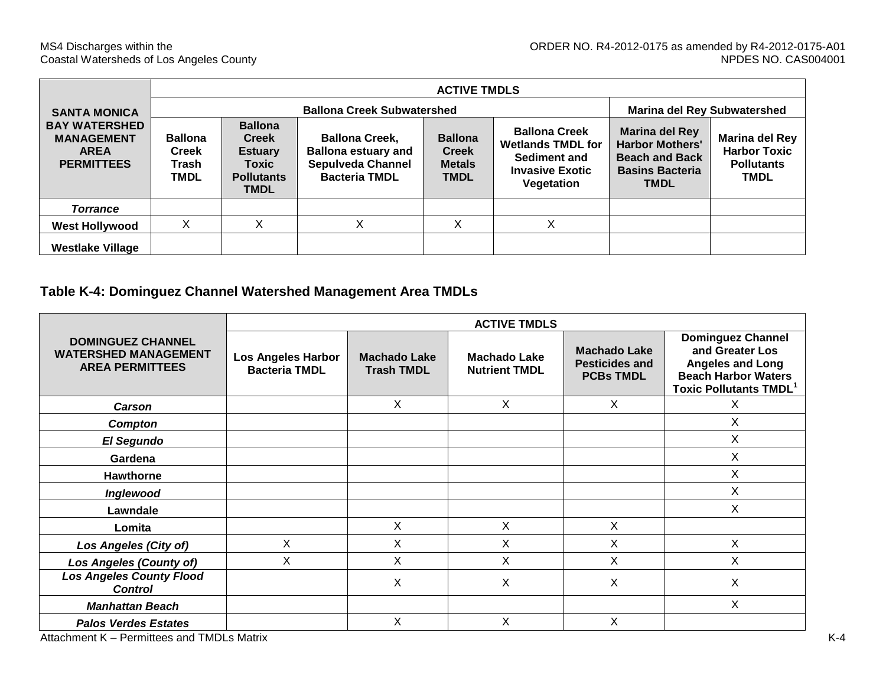| <b>SANTA MONICA</b>                                                           | <b>Ballona Creek Subwatershed</b><br><b>Marina del Rey Subwatershed</b> |                                                                                               |                                                                                                         |                                                                |                                                                                                                 |                                                                                                                   |                                                                           |  |
|-------------------------------------------------------------------------------|-------------------------------------------------------------------------|-----------------------------------------------------------------------------------------------|---------------------------------------------------------------------------------------------------------|----------------------------------------------------------------|-----------------------------------------------------------------------------------------------------------------|-------------------------------------------------------------------------------------------------------------------|---------------------------------------------------------------------------|--|
| <b>BAY WATERSHED</b><br><b>MANAGEMENT</b><br><b>AREA</b><br><b>PERMITTEES</b> | <b>Ballona</b><br><b>Creek</b><br>Trash<br><b>TMDL</b>                  | <b>Ballona</b><br><b>Creek</b><br><b>Estuary</b><br>Toxic<br><b>Pollutants</b><br><b>TMDL</b> | <b>Ballona Creek,</b><br><b>Ballona estuary and</b><br><b>Sepulveda Channel</b><br><b>Bacteria TMDL</b> | <b>Ballona</b><br><b>Creek</b><br><b>Metals</b><br><b>TMDL</b> | <b>Ballona Creek</b><br><b>Wetlands TMDL for</b><br><b>Sediment and</b><br><b>Invasive Exotic</b><br>Vegetation | <b>Marina del Rey</b><br><b>Harbor Mothers'</b><br><b>Beach and Back</b><br><b>Basins Bacteria</b><br><b>TMDL</b> | Marina del Rey<br><b>Harbor Toxic</b><br><b>Pollutants</b><br><b>TMDL</b> |  |
| <b>Torrance</b>                                                               |                                                                         |                                                                                               |                                                                                                         |                                                                |                                                                                                                 |                                                                                                                   |                                                                           |  |
| <b>West Hollywood</b>                                                         | Χ                                                                       | X                                                                                             | $\checkmark$<br>v                                                                                       | X                                                              | X                                                                                                               |                                                                                                                   |                                                                           |  |
| <b>Westlake Village</b>                                                       |                                                                         |                                                                                               |                                                                                                         |                                                                |                                                                                                                 |                                                                                                                   |                                                                           |  |

# **Table K-4: Dominguez Channel Watershed Management Area TMDLs**

|                                                                                   | <b>ACTIVE TMDLS</b>                               |                                          |                                             |                                                                  |                                                                                                                                       |  |  |  |
|-----------------------------------------------------------------------------------|---------------------------------------------------|------------------------------------------|---------------------------------------------|------------------------------------------------------------------|---------------------------------------------------------------------------------------------------------------------------------------|--|--|--|
| <b>DOMINGUEZ CHANNEL</b><br><b>WATERSHED MANAGEMENT</b><br><b>AREA PERMITTEES</b> | <b>Los Angeles Harbor</b><br><b>Bacteria TMDL</b> | <b>Machado Lake</b><br><b>Trash TMDL</b> | <b>Machado Lake</b><br><b>Nutrient TMDL</b> | <b>Machado Lake</b><br><b>Pesticides and</b><br><b>PCBs TMDL</b> | <b>Dominguez Channel</b><br>and Greater Los<br><b>Angeles and Long</b><br><b>Beach Harbor Waters</b><br><b>Toxic Pollutants TMDL1</b> |  |  |  |
| <b>Carson</b>                                                                     |                                                   | X                                        | X                                           | X                                                                | X                                                                                                                                     |  |  |  |
| Compton                                                                           |                                                   |                                          |                                             |                                                                  | X                                                                                                                                     |  |  |  |
| El Segundo                                                                        |                                                   |                                          |                                             |                                                                  | X                                                                                                                                     |  |  |  |
| Gardena                                                                           |                                                   |                                          |                                             |                                                                  | X                                                                                                                                     |  |  |  |
| Hawthorne                                                                         |                                                   |                                          |                                             |                                                                  | X                                                                                                                                     |  |  |  |
| Inglewood                                                                         |                                                   |                                          |                                             |                                                                  | X                                                                                                                                     |  |  |  |
| Lawndale                                                                          |                                                   |                                          |                                             |                                                                  | X                                                                                                                                     |  |  |  |
| Lomita                                                                            |                                                   | X                                        | X                                           | X                                                                |                                                                                                                                       |  |  |  |
| <b>Los Angeles (City of)</b>                                                      | X                                                 | X                                        | X                                           | Χ                                                                | X                                                                                                                                     |  |  |  |
| <b>Los Angeles (County of)</b>                                                    | X                                                 | Χ                                        | Χ                                           | X                                                                | X                                                                                                                                     |  |  |  |
| <b>Los Angeles County Flood</b><br><b>Control</b>                                 |                                                   | Χ                                        | X                                           | X                                                                | X                                                                                                                                     |  |  |  |
| <b>Manhattan Beach</b>                                                            |                                                   |                                          |                                             |                                                                  | X                                                                                                                                     |  |  |  |
| <b>Palos Verdes Estates</b>                                                       |                                                   | X                                        | X                                           | X                                                                |                                                                                                                                       |  |  |  |
| Attachment K - Permittees and TMDLs Matrix                                        |                                                   |                                          |                                             |                                                                  |                                                                                                                                       |  |  |  |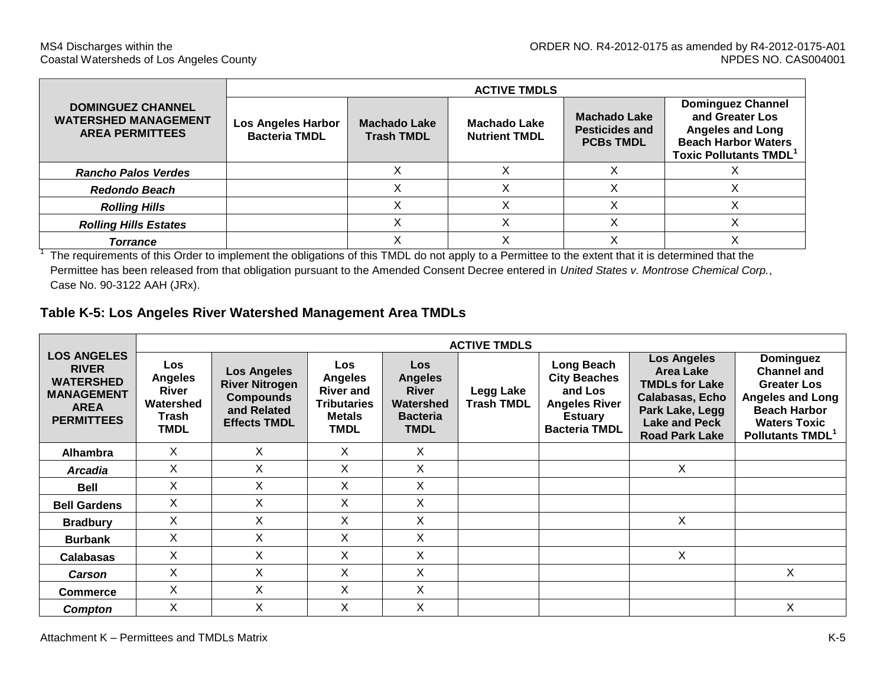|                                                                                                                                                   | <b>ACTIVE TMDLS</b>                        |                                   |                                             |                                                                  |                                                                                                                                      |  |  |  |  |  |
|---------------------------------------------------------------------------------------------------------------------------------------------------|--------------------------------------------|-----------------------------------|---------------------------------------------|------------------------------------------------------------------|--------------------------------------------------------------------------------------------------------------------------------------|--|--|--|--|--|
| <b>DOMINGUEZ CHANNEL</b><br><b>WATERSHED MANAGEMENT</b><br><b>AREA PERMITTEES</b>                                                                 | Los Angeles Harbor<br><b>Bacteria TMDL</b> | Machado Lake<br><b>Trash TMDL</b> | <b>Machado Lake</b><br><b>Nutrient TMDL</b> | <b>Machado Lake</b><br><b>Pesticides and</b><br><b>PCBs TMDL</b> | <b>Dominguez Channel</b><br>and Greater Los<br><b>Angeles and Long</b><br><b>Beach Harbor Waters</b><br><b>Toxic Pollutants TMDL</b> |  |  |  |  |  |
| <b>Rancho Palos Verdes</b>                                                                                                                        |                                            |                                   |                                             |                                                                  |                                                                                                                                      |  |  |  |  |  |
| <b>Redondo Beach</b>                                                                                                                              |                                            |                                   |                                             |                                                                  |                                                                                                                                      |  |  |  |  |  |
| <b>Rolling Hills</b>                                                                                                                              |                                            |                                   |                                             |                                                                  |                                                                                                                                      |  |  |  |  |  |
| <b>Rolling Hills Estates</b>                                                                                                                      |                                            |                                   |                                             |                                                                  |                                                                                                                                      |  |  |  |  |  |
| Torrance                                                                                                                                          |                                            |                                   |                                             |                                                                  |                                                                                                                                      |  |  |  |  |  |
| The requirements of this Order to implement the obligations of this TMDL do not apply to a Dermitted to the ovtant that it is determined that the |                                            |                                   |                                             |                                                                  |                                                                                                                                      |  |  |  |  |  |

 The requirements of this Order to implement the obligations of this TMDL do not apply to a Permittee to the extent that it is determined that the Permittee has been released from that obligation pursuant to the Amended Consent Decree entered in *United States v. Montrose Chemical Corp.*, Case No. 90-3122 AAH (JRx).

## **Table K-5: Los Angeles River Watershed Management Area TMDLs**

|                                                                                                                 |                                                              | <b>ACTIVE TMDLS</b>                                                                                   |                                                                                                        |                                                                                      |                                |                                                                                                                |                                                                                                                                                               |                                                                                                                                                                |
|-----------------------------------------------------------------------------------------------------------------|--------------------------------------------------------------|-------------------------------------------------------------------------------------------------------|--------------------------------------------------------------------------------------------------------|--------------------------------------------------------------------------------------|--------------------------------|----------------------------------------------------------------------------------------------------------------|---------------------------------------------------------------------------------------------------------------------------------------------------------------|----------------------------------------------------------------------------------------------------------------------------------------------------------------|
| <b>LOS ANGELES</b><br><b>RIVER</b><br><b>WATERSHED</b><br><b>MANAGEMENT</b><br><b>AREA</b><br><b>PERMITTEES</b> | Los<br><b>Angeles</b><br>River<br>Watershed<br>Trash<br>TMDL | <b>Los Angeles</b><br><b>River Nitrogen</b><br><b>Compounds</b><br>and Related<br><b>Effects TMDL</b> | <b>Los</b><br><b>Angeles</b><br><b>River and</b><br><b>Tributaries</b><br><b>Metals</b><br><b>TMDL</b> | Los<br><b>Angeles</b><br><b>River</b><br>Watershed<br><b>Bacteria</b><br><b>TMDL</b> | Legg Lake<br><b>Trash TMDL</b> | Long Beach<br><b>City Beaches</b><br>and Los<br><b>Angeles River</b><br><b>Estuary</b><br><b>Bacteria TMDL</b> | <b>Los Angeles</b><br><b>Area Lake</b><br><b>TMDLs for Lake</b><br><b>Calabasas, Echo</b><br>Park Lake, Legg<br><b>Lake and Peck</b><br><b>Road Park Lake</b> | <b>Dominguez</b><br><b>Channel and</b><br><b>Greater Los</b><br>Angeles and Long<br><b>Beach Harbor</b><br><b>Waters Toxic</b><br>Pollutants TMDL <sup>1</sup> |
| <b>Alhambra</b>                                                                                                 | X                                                            | X                                                                                                     | X                                                                                                      | X                                                                                    |                                |                                                                                                                |                                                                                                                                                               |                                                                                                                                                                |
| <b>Arcadia</b>                                                                                                  | Χ                                                            | X                                                                                                     | X                                                                                                      | X                                                                                    |                                |                                                                                                                | X                                                                                                                                                             |                                                                                                                                                                |
| Bell                                                                                                            | X                                                            | Χ                                                                                                     | X                                                                                                      | X                                                                                    |                                |                                                                                                                |                                                                                                                                                               |                                                                                                                                                                |
| <b>Bell Gardens</b>                                                                                             | X                                                            | X                                                                                                     | X                                                                                                      | X                                                                                    |                                |                                                                                                                |                                                                                                                                                               |                                                                                                                                                                |
| <b>Bradbury</b>                                                                                                 | X                                                            | Χ                                                                                                     | X                                                                                                      | X                                                                                    |                                |                                                                                                                | X                                                                                                                                                             |                                                                                                                                                                |
| <b>Burbank</b>                                                                                                  | Χ                                                            | X                                                                                                     | X                                                                                                      | X                                                                                    |                                |                                                                                                                |                                                                                                                                                               |                                                                                                                                                                |
| <b>Calabasas</b>                                                                                                | Χ                                                            | X                                                                                                     | X                                                                                                      | X                                                                                    |                                |                                                                                                                | X                                                                                                                                                             |                                                                                                                                                                |
| <b>Carson</b>                                                                                                   | Χ                                                            | Х                                                                                                     | Х                                                                                                      | X                                                                                    |                                |                                                                                                                |                                                                                                                                                               | Χ                                                                                                                                                              |
| <b>Commerce</b>                                                                                                 | X                                                            | X                                                                                                     | X                                                                                                      | X                                                                                    |                                |                                                                                                                |                                                                                                                                                               |                                                                                                                                                                |
| Compton                                                                                                         | Χ                                                            | Χ                                                                                                     | Χ                                                                                                      | X                                                                                    |                                |                                                                                                                |                                                                                                                                                               | X                                                                                                                                                              |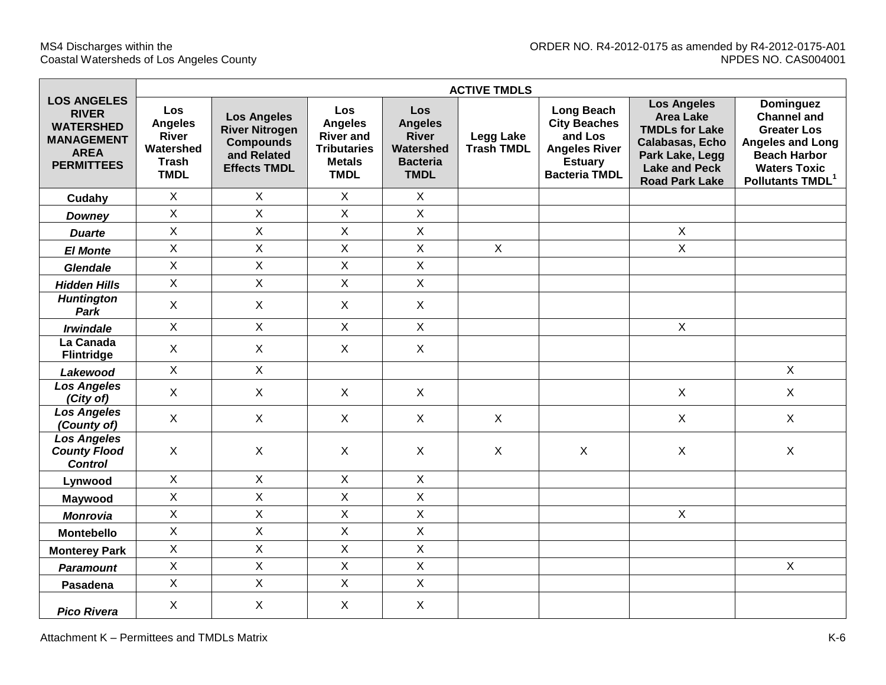$\blacksquare$ 

|                                                                                                                 |                                                                            |                                                                                                       |                                                                                                 |                                                                                      | <b>ACTIVE TMDLS</b>                   |                                                                                                                       |                                                                                                                                                        |                                                                                                                                                                       |
|-----------------------------------------------------------------------------------------------------------------|----------------------------------------------------------------------------|-------------------------------------------------------------------------------------------------------|-------------------------------------------------------------------------------------------------|--------------------------------------------------------------------------------------|---------------------------------------|-----------------------------------------------------------------------------------------------------------------------|--------------------------------------------------------------------------------------------------------------------------------------------------------|-----------------------------------------------------------------------------------------------------------------------------------------------------------------------|
| <b>LOS ANGELES</b><br><b>RIVER</b><br><b>WATERSHED</b><br><b>MANAGEMENT</b><br><b>AREA</b><br><b>PERMITTEES</b> | Los<br><b>Angeles</b><br>River<br>Watershed<br><b>Trash</b><br><b>TMDL</b> | <b>Los Angeles</b><br><b>River Nitrogen</b><br><b>Compounds</b><br>and Related<br><b>Effects TMDL</b> | Los<br><b>Angeles</b><br><b>River and</b><br><b>Tributaries</b><br><b>Metals</b><br><b>TMDL</b> | Los<br><b>Angeles</b><br><b>River</b><br>Watershed<br><b>Bacteria</b><br><b>TMDL</b> | <b>Legg Lake</b><br><b>Trash TMDL</b> | <b>Long Beach</b><br><b>City Beaches</b><br>and Los<br><b>Angeles River</b><br><b>Estuary</b><br><b>Bacteria TMDL</b> | <b>Los Angeles</b><br><b>Area Lake</b><br><b>TMDLs for Lake</b><br>Calabasas, Echo<br>Park Lake, Legg<br><b>Lake and Peck</b><br><b>Road Park Lake</b> | <b>Dominguez</b><br><b>Channel and</b><br><b>Greater Los</b><br><b>Angeles and Long</b><br><b>Beach Harbor</b><br><b>Waters Toxic</b><br>Pollutants TMDL <sup>1</sup> |
| Cudahy                                                                                                          | $\mathsf{X}$                                                               | $\mathsf{X}$                                                                                          | $\mathsf{X}$                                                                                    | $\mathsf{X}$                                                                         |                                       |                                                                                                                       |                                                                                                                                                        |                                                                                                                                                                       |
| <b>Downey</b>                                                                                                   | X                                                                          | $\mathsf X$                                                                                           | $\mathsf X$                                                                                     | $\mathsf{X}$                                                                         |                                       |                                                                                                                       |                                                                                                                                                        |                                                                                                                                                                       |
| <b>Duarte</b>                                                                                                   | $\mathsf X$                                                                | $\mathsf X$                                                                                           | X                                                                                               | $\mathsf{X}$                                                                         |                                       |                                                                                                                       | $\mathsf X$                                                                                                                                            |                                                                                                                                                                       |
| <b>El Monte</b>                                                                                                 | $\overline{X}$                                                             | $\overline{\mathsf{X}}$                                                                               | $\mathsf{X}$                                                                                    | $\mathsf{X}$                                                                         | $\mathsf{X}$                          |                                                                                                                       | $\mathsf{X}$                                                                                                                                           |                                                                                                                                                                       |
| <b>Glendale</b>                                                                                                 | X                                                                          | $\mathsf{X}% _{0}$                                                                                    | X                                                                                               | $\mathsf{X}$                                                                         |                                       |                                                                                                                       |                                                                                                                                                        |                                                                                                                                                                       |
| <b>Hidden Hills</b>                                                                                             | X                                                                          | X                                                                                                     | $\mathsf{X}$                                                                                    | $\mathsf{X}$                                                                         |                                       |                                                                                                                       |                                                                                                                                                        |                                                                                                                                                                       |
| <b>Huntington</b><br>Park                                                                                       | $\mathsf X$                                                                | $\boldsymbol{\mathsf{X}}$                                                                             | X                                                                                               | $\mathsf{X}$                                                                         |                                       |                                                                                                                       |                                                                                                                                                        |                                                                                                                                                                       |
| <b>Irwindale</b>                                                                                                | X                                                                          | $\mathsf{X}$                                                                                          | $\mathsf{X}$                                                                                    | $\mathsf{X}$                                                                         |                                       |                                                                                                                       | $\mathsf{X}$                                                                                                                                           |                                                                                                                                                                       |
| La Canada<br><b>Flintridge</b>                                                                                  | $\sf X$                                                                    | $\sf X$                                                                                               | $\mathsf{X}$                                                                                    | $\mathsf{X}$                                                                         |                                       |                                                                                                                       |                                                                                                                                                        |                                                                                                                                                                       |
| Lakewood                                                                                                        | $\mathsf{X}$                                                               | $\mathsf{X}$                                                                                          |                                                                                                 |                                                                                      |                                       |                                                                                                                       |                                                                                                                                                        | $\mathsf X$                                                                                                                                                           |
| <b>Los Angeles</b><br>(City of)                                                                                 | $\sf X$                                                                    | $\sf X$                                                                                               | $\mathsf{X}$                                                                                    | $\mathsf{X}$                                                                         |                                       |                                                                                                                       | $\mathsf{X}$                                                                                                                                           | $\sf X$                                                                                                                                                               |
| <b>Los Angeles</b><br>(County of)                                                                               | $\sf X$                                                                    | $\sf X$                                                                                               | $\mathsf{X}$                                                                                    | $\mathsf{X}$                                                                         | X                                     |                                                                                                                       | $\mathsf{X}$                                                                                                                                           | $\sf X$                                                                                                                                                               |
| <b>Los Angeles</b><br><b>County Flood</b><br><b>Control</b>                                                     | $\sf X$                                                                    | $\sf X$                                                                                               | $\mathsf{X}$                                                                                    | X                                                                                    | X                                     | X                                                                                                                     | $\mathsf{X}$                                                                                                                                           | $\sf X$                                                                                                                                                               |
| Lynwood                                                                                                         | $\mathsf X$                                                                | $\mathsf X$                                                                                           | $\mathsf{X}$                                                                                    | $\mathsf{X}$                                                                         |                                       |                                                                                                                       |                                                                                                                                                        |                                                                                                                                                                       |
| Maywood                                                                                                         | X                                                                          | X                                                                                                     | X                                                                                               | $\mathsf{X}$                                                                         |                                       |                                                                                                                       |                                                                                                                                                        |                                                                                                                                                                       |
| <b>Monrovia</b>                                                                                                 | $\mathsf{X}$                                                               | $\overline{\mathsf{X}}$                                                                               | $\mathsf{X}$                                                                                    | $\overline{X}$                                                                       |                                       |                                                                                                                       | $\mathsf{X}$                                                                                                                                           |                                                                                                                                                                       |
| Montebello                                                                                                      | X                                                                          | $\mathsf{X}% _{0}$                                                                                    | X                                                                                               | $\mathsf{X}$                                                                         |                                       |                                                                                                                       |                                                                                                                                                        |                                                                                                                                                                       |
| <b>Monterey Park</b>                                                                                            | X                                                                          | X                                                                                                     | X                                                                                               | $\mathsf{X}$                                                                         |                                       |                                                                                                                       |                                                                                                                                                        |                                                                                                                                                                       |
| <b>Paramount</b>                                                                                                | $\mathsf{X}$                                                               | X                                                                                                     | $\mathsf{X}$                                                                                    | $\mathsf{X}$                                                                         |                                       |                                                                                                                       |                                                                                                                                                        | $\sf X$                                                                                                                                                               |
| Pasadena                                                                                                        | X                                                                          | $\mathsf X$                                                                                           | $\mathsf{X}$                                                                                    | $\mathsf{X}$                                                                         |                                       |                                                                                                                       |                                                                                                                                                        |                                                                                                                                                                       |
| <b>Pico Rivera</b>                                                                                              | X                                                                          | X                                                                                                     | $\mathsf{X}$                                                                                    | $\mathsf{X}$                                                                         |                                       |                                                                                                                       |                                                                                                                                                        |                                                                                                                                                                       |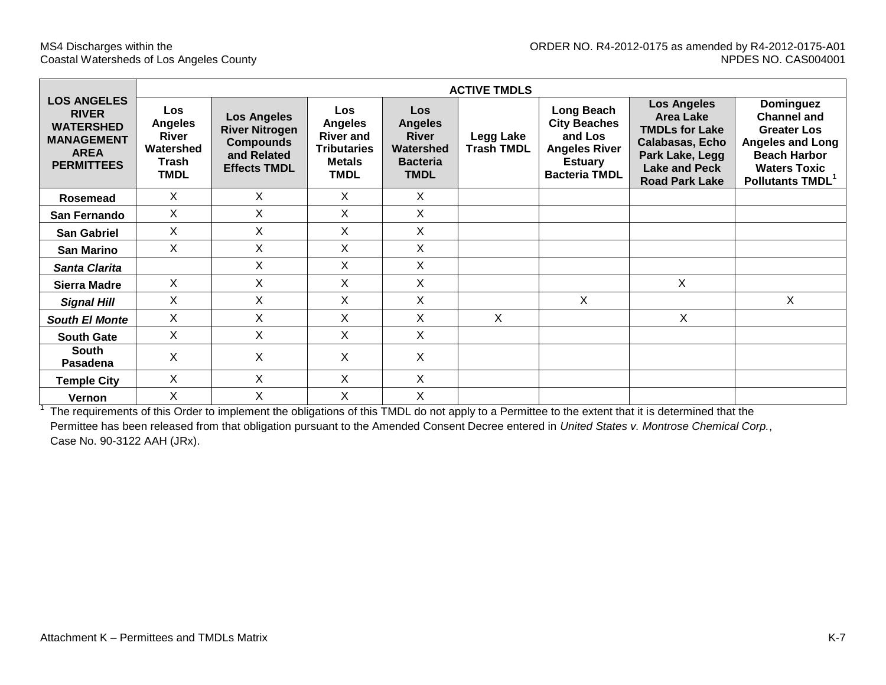|                                                                                                                 | <b>ACTIVE TMDLS</b>                                                        |                                                                                                       |                                                                                                        |                                                                                             |                                |                                                                                                                |                                                                                                                                                        |                                                                                                                                                                |  |  |
|-----------------------------------------------------------------------------------------------------------------|----------------------------------------------------------------------------|-------------------------------------------------------------------------------------------------------|--------------------------------------------------------------------------------------------------------|---------------------------------------------------------------------------------------------|--------------------------------|----------------------------------------------------------------------------------------------------------------|--------------------------------------------------------------------------------------------------------------------------------------------------------|----------------------------------------------------------------------------------------------------------------------------------------------------------------|--|--|
| <b>LOS ANGELES</b><br><b>RIVER</b><br><b>WATERSHED</b><br><b>MANAGEMENT</b><br><b>AREA</b><br><b>PERMITTEES</b> | <b>Los</b><br><b>Angeles</b><br>River<br>Watershed<br>Trash<br><b>TMDL</b> | <b>Los Angeles</b><br><b>River Nitrogen</b><br><b>Compounds</b><br>and Related<br><b>Effects TMDL</b> | <b>Los</b><br><b>Angeles</b><br><b>River and</b><br><b>Tributaries</b><br><b>Metals</b><br><b>TMDL</b> | <b>Los</b><br><b>Angeles</b><br><b>River</b><br>Watershed<br><b>Bacteria</b><br><b>TMDL</b> | Legg Lake<br><b>Trash TMDL</b> | Long Beach<br><b>City Beaches</b><br>and Los<br><b>Angeles River</b><br><b>Estuary</b><br><b>Bacteria TMDL</b> | <b>Los Angeles</b><br><b>Area Lake</b><br><b>TMDLs for Lake</b><br>Calabasas, Echo<br>Park Lake, Legg<br><b>Lake and Peck</b><br><b>Road Park Lake</b> | Dominguez<br><b>Channel and</b><br><b>Greater Los</b><br><b>Angeles and Long</b><br><b>Beach Harbor</b><br><b>Waters Toxic</b><br>Pollutants TMDL <sup>1</sup> |  |  |
| Rosemead                                                                                                        | X                                                                          | X.                                                                                                    | X                                                                                                      | X                                                                                           |                                |                                                                                                                |                                                                                                                                                        |                                                                                                                                                                |  |  |
| San Fernando                                                                                                    | X                                                                          | X                                                                                                     | X.                                                                                                     | X                                                                                           |                                |                                                                                                                |                                                                                                                                                        |                                                                                                                                                                |  |  |
| <b>San Gabriel</b>                                                                                              | X                                                                          | X                                                                                                     | X.                                                                                                     | X                                                                                           |                                |                                                                                                                |                                                                                                                                                        |                                                                                                                                                                |  |  |
| <b>San Marino</b>                                                                                               | X                                                                          | X                                                                                                     | X                                                                                                      | X                                                                                           |                                |                                                                                                                |                                                                                                                                                        |                                                                                                                                                                |  |  |
| <b>Santa Clarita</b>                                                                                            |                                                                            | Χ                                                                                                     | X.                                                                                                     | X                                                                                           |                                |                                                                                                                |                                                                                                                                                        |                                                                                                                                                                |  |  |
| Sierra Madre                                                                                                    | X                                                                          | X                                                                                                     | X.                                                                                                     | X                                                                                           |                                |                                                                                                                | X                                                                                                                                                      |                                                                                                                                                                |  |  |
| <b>Signal Hill</b>                                                                                              | X                                                                          | X                                                                                                     | X.                                                                                                     | X                                                                                           |                                | X                                                                                                              |                                                                                                                                                        | X                                                                                                                                                              |  |  |
| <b>South El Monte</b>                                                                                           | X                                                                          | X                                                                                                     | X.                                                                                                     | X                                                                                           | X                              |                                                                                                                | X                                                                                                                                                      |                                                                                                                                                                |  |  |
| <b>South Gate</b>                                                                                               | X                                                                          | X                                                                                                     | X.                                                                                                     | X                                                                                           |                                |                                                                                                                |                                                                                                                                                        |                                                                                                                                                                |  |  |
| <b>South</b><br><b>Pasadena</b>                                                                                 | X                                                                          | X                                                                                                     | X                                                                                                      | X                                                                                           |                                |                                                                                                                |                                                                                                                                                        |                                                                                                                                                                |  |  |
| <b>Temple City</b>                                                                                              | X                                                                          | X                                                                                                     | X                                                                                                      | X                                                                                           |                                |                                                                                                                |                                                                                                                                                        |                                                                                                                                                                |  |  |
| Vernon                                                                                                          | X                                                                          | X                                                                                                     | X                                                                                                      | X                                                                                           |                                |                                                                                                                |                                                                                                                                                        |                                                                                                                                                                |  |  |

<sup>1</sup> The requirements of this Order to implement the obligations of this TMDL do not apply to a Permittee to the extent that it is determined that the Permittee has been released from that obligation pursuant to the Amended Consent Decree entered in *United States v. Montrose Chemical Corp.*, Case No. 90-3122 AAH (JRx).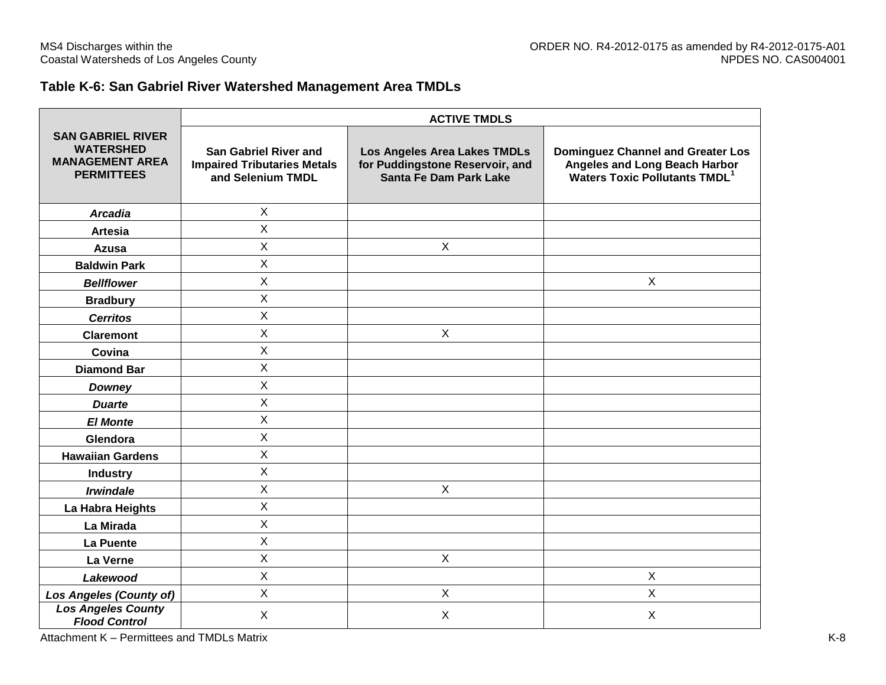## **Table K-6: San Gabriel River Watershed Management Area TMDLs**

|                                                                                             | <b>ACTIVE TMDLS</b>                                                                     |                                                                                           |                                                                                                                              |  |  |  |  |  |  |
|---------------------------------------------------------------------------------------------|-----------------------------------------------------------------------------------------|-------------------------------------------------------------------------------------------|------------------------------------------------------------------------------------------------------------------------------|--|--|--|--|--|--|
| <b>SAN GABRIEL RIVER</b><br><b>WATERSHED</b><br><b>MANAGEMENT AREA</b><br><b>PERMITTEES</b> | <b>San Gabriel River and</b><br><b>Impaired Tributaries Metals</b><br>and Selenium TMDL | Los Angeles Area Lakes TMDLs<br>for Puddingstone Reservoir, and<br>Santa Fe Dam Park Lake | <b>Dominguez Channel and Greater Los</b><br>Angeles and Long Beach Harbor<br><b>Waters Toxic Pollutants TMDL<sup>1</sup></b> |  |  |  |  |  |  |
| <b>Arcadia</b>                                                                              | $\mathsf{X}$                                                                            |                                                                                           |                                                                                                                              |  |  |  |  |  |  |
| <b>Artesia</b>                                                                              | X                                                                                       |                                                                                           |                                                                                                                              |  |  |  |  |  |  |
| Azusa                                                                                       | X                                                                                       | $\mathsf{X}$                                                                              |                                                                                                                              |  |  |  |  |  |  |
| <b>Baldwin Park</b>                                                                         | X                                                                                       |                                                                                           |                                                                                                                              |  |  |  |  |  |  |
| <b>Bellflower</b>                                                                           | X                                                                                       |                                                                                           | $\boldsymbol{X}$                                                                                                             |  |  |  |  |  |  |
| <b>Bradbury</b>                                                                             | X                                                                                       |                                                                                           |                                                                                                                              |  |  |  |  |  |  |
| <b>Cerritos</b>                                                                             | X                                                                                       |                                                                                           |                                                                                                                              |  |  |  |  |  |  |
| <b>Claremont</b>                                                                            | X                                                                                       | $\mathsf{X}$                                                                              |                                                                                                                              |  |  |  |  |  |  |
| Covina                                                                                      | X                                                                                       |                                                                                           |                                                                                                                              |  |  |  |  |  |  |
| <b>Diamond Bar</b>                                                                          | X                                                                                       |                                                                                           |                                                                                                                              |  |  |  |  |  |  |
| <b>Downey</b>                                                                               | X                                                                                       |                                                                                           |                                                                                                                              |  |  |  |  |  |  |
| <b>Duarte</b>                                                                               | $\mathsf{X}$                                                                            |                                                                                           |                                                                                                                              |  |  |  |  |  |  |
| <b>El Monte</b>                                                                             | X                                                                                       |                                                                                           |                                                                                                                              |  |  |  |  |  |  |
| Glendora                                                                                    | X                                                                                       |                                                                                           |                                                                                                                              |  |  |  |  |  |  |
| <b>Hawaiian Gardens</b>                                                                     | $\mathsf{X}$                                                                            |                                                                                           |                                                                                                                              |  |  |  |  |  |  |
| <b>Industry</b>                                                                             | X                                                                                       |                                                                                           |                                                                                                                              |  |  |  |  |  |  |
| <b>Irwindale</b>                                                                            | $\mathsf{X}$                                                                            | $\mathsf{X}$                                                                              |                                                                                                                              |  |  |  |  |  |  |
| La Habra Heights                                                                            | X                                                                                       |                                                                                           |                                                                                                                              |  |  |  |  |  |  |
| La Mirada                                                                                   | X                                                                                       |                                                                                           |                                                                                                                              |  |  |  |  |  |  |
| La Puente                                                                                   | $\mathsf{X}$                                                                            |                                                                                           |                                                                                                                              |  |  |  |  |  |  |
| La Verne                                                                                    | X                                                                                       | $\mathsf{X}$                                                                              |                                                                                                                              |  |  |  |  |  |  |
| Lakewood                                                                                    | $\mathsf{X}$                                                                            |                                                                                           | $\sf X$                                                                                                                      |  |  |  |  |  |  |
| <b>Los Angeles (County of)</b>                                                              | X                                                                                       | X                                                                                         | $\mathsf{X}$                                                                                                                 |  |  |  |  |  |  |
| <b>Los Angeles County</b><br><b>Flood Control</b>                                           | Χ                                                                                       | X                                                                                         | X                                                                                                                            |  |  |  |  |  |  |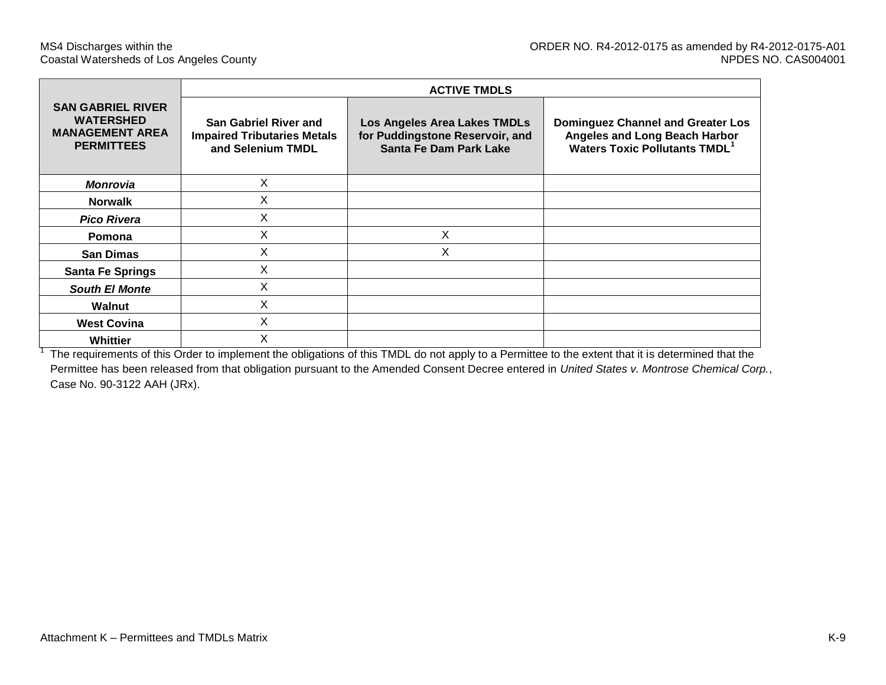|                                                                                             |                                                                                         | <b>ACTIVE TMDLS</b>                                                                       |                                                                                                                               |
|---------------------------------------------------------------------------------------------|-----------------------------------------------------------------------------------------|-------------------------------------------------------------------------------------------|-------------------------------------------------------------------------------------------------------------------------------|
| <b>SAN GABRIEL RIVER</b><br><b>WATERSHED</b><br><b>MANAGEMENT AREA</b><br><b>PERMITTEES</b> | <b>San Gabriel River and</b><br><b>Impaired Tributaries Metals</b><br>and Selenium TMDL | Los Angeles Area Lakes TMDLs<br>for Puddingstone Reservoir, and<br>Santa Fe Dam Park Lake | <b>Dominguez Channel and Greater Los</b><br>Angeles and Long Beach Harbor<br><b>Waters Toxic Pollutants TMDL</b> <sup>1</sup> |
| <b>Monrovia</b>                                                                             | X                                                                                       |                                                                                           |                                                                                                                               |
| <b>Norwalk</b>                                                                              | X                                                                                       |                                                                                           |                                                                                                                               |
| <b>Pico Rivera</b>                                                                          | X                                                                                       |                                                                                           |                                                                                                                               |
| Pomona                                                                                      | X                                                                                       | X                                                                                         |                                                                                                                               |
| <b>San Dimas</b>                                                                            | X                                                                                       | X                                                                                         |                                                                                                                               |
| <b>Santa Fe Springs</b>                                                                     | Х                                                                                       |                                                                                           |                                                                                                                               |
| <b>South El Monte</b>                                                                       | X                                                                                       |                                                                                           |                                                                                                                               |
| Walnut                                                                                      | X                                                                                       |                                                                                           |                                                                                                                               |
| <b>West Covina</b>                                                                          | X                                                                                       |                                                                                           |                                                                                                                               |
| Whittier                                                                                    | Χ                                                                                       |                                                                                           |                                                                                                                               |

 $1$  The requirements of this Order to implement the obligations of this TMDL do not apply to a Permittee to the extent that it is determined that the Permittee has been released from that obligation pursuant to the Amended Consent Decree entered in *United States v. Montrose Chemical Corp.*, Case No. 90-3122 AAH (JRx).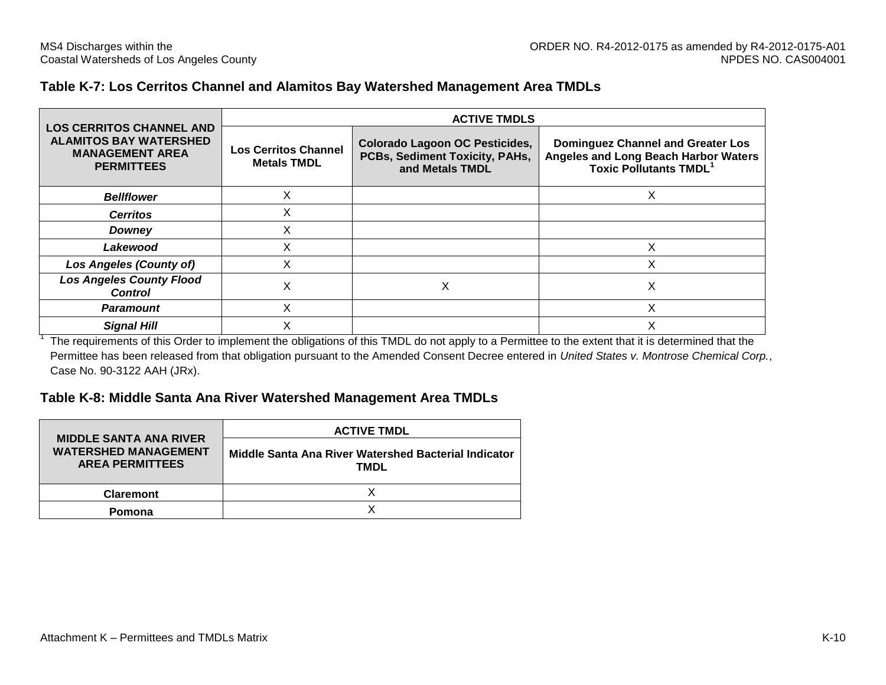#### **Table K-7: Los Cerritos Channel and Alamitos Bay Watershed Management Area TMDLs**

|                                                                                                                 | <b>ACTIVE TMDLS</b>                               |                                                                                            |                                                                                                                  |  |  |  |  |  |  |  |
|-----------------------------------------------------------------------------------------------------------------|---------------------------------------------------|--------------------------------------------------------------------------------------------|------------------------------------------------------------------------------------------------------------------|--|--|--|--|--|--|--|
| <b>LOS CERRITOS CHANNEL AND</b><br><b>ALAMITOS BAY WATERSHED</b><br><b>MANAGEMENT AREA</b><br><b>PERMITTEES</b> | <b>Los Cerritos Channel</b><br><b>Metals TMDL</b> | <b>Colorado Lagoon OC Pesticides,</b><br>PCBs, Sediment Toxicity, PAHs,<br>and Metals TMDL | <b>Dominguez Channel and Greater Los</b><br>Angeles and Long Beach Harbor Waters<br><b>Toxic Pollutants TMDL</b> |  |  |  |  |  |  |  |
| <b>Bellflower</b>                                                                                               | X                                                 |                                                                                            |                                                                                                                  |  |  |  |  |  |  |  |
| <b>Cerritos</b>                                                                                                 | X                                                 |                                                                                            |                                                                                                                  |  |  |  |  |  |  |  |
| Downey                                                                                                          | X                                                 |                                                                                            |                                                                                                                  |  |  |  |  |  |  |  |
| Lakewood                                                                                                        | X                                                 |                                                                                            | x                                                                                                                |  |  |  |  |  |  |  |
| <b>Los Angeles (County of)</b>                                                                                  | X                                                 |                                                                                            | X                                                                                                                |  |  |  |  |  |  |  |
| <b>Los Angeles County Flood</b><br><b>Control</b>                                                               | Χ                                                 | х                                                                                          | х                                                                                                                |  |  |  |  |  |  |  |
| Paramount                                                                                                       | Χ                                                 |                                                                                            | ᄉ                                                                                                                |  |  |  |  |  |  |  |
| <b>Signal Hill</b>                                                                                              | $\check{ }$                                       |                                                                                            | ⌒                                                                                                                |  |  |  |  |  |  |  |

<sup>1</sup> The requirements of this Order to implement the obligations of this TMDL do not apply to a Permittee to the extent that it is determined that the Permittee has been released from that obligation pursuant to the Amended Consent Decree entered in *United States v. Montrose Chemical Corp.*, Case No. 90-3122 AAH (JRx).

#### **Table K-8: Middle Santa Ana River Watershed Management Area TMDLs**

|                                                                                        | <b>ACTIVE TMDL</b>                                           |
|----------------------------------------------------------------------------------------|--------------------------------------------------------------|
| <b>MIDDLE SANTA ANA RIVER</b><br><b>WATERSHED MANAGEMENT</b><br><b>AREA PERMITTEES</b> | Middle Santa Ana River Watershed Bacterial Indicator<br>TMDL |
| <b>Claremont</b>                                                                       |                                                              |
| Pomona                                                                                 |                                                              |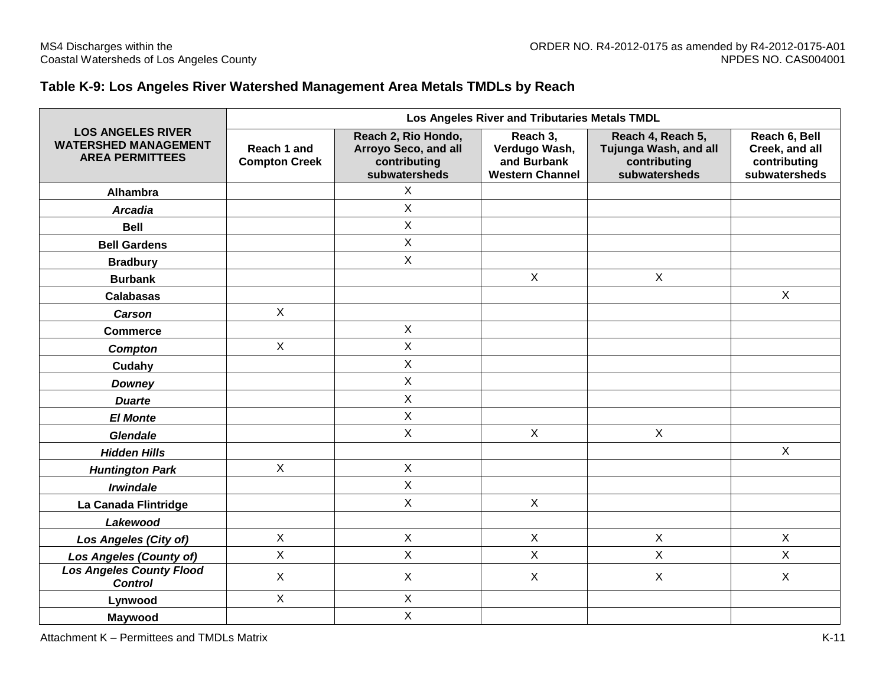## **Table K-9: Los Angeles River Watershed Management Area Metals TMDLs by Reach**

|                                                                                   |                                     |                                                                              | Los Angeles River and Tributaries Metals TMDL                      |                                                                             |                                                                  |
|-----------------------------------------------------------------------------------|-------------------------------------|------------------------------------------------------------------------------|--------------------------------------------------------------------|-----------------------------------------------------------------------------|------------------------------------------------------------------|
| <b>LOS ANGELES RIVER</b><br><b>WATERSHED MANAGEMENT</b><br><b>AREA PERMITTEES</b> | Reach 1 and<br><b>Compton Creek</b> | Reach 2, Rio Hondo,<br>Arroyo Seco, and all<br>contributing<br>subwatersheds | Reach 3,<br>Verdugo Wash,<br>and Burbank<br><b>Western Channel</b> | Reach 4, Reach 5,<br>Tujunga Wash, and all<br>contributing<br>subwatersheds | Reach 6, Bell<br>Creek, and all<br>contributing<br>subwatersheds |
| Alhambra                                                                          |                                     | X                                                                            |                                                                    |                                                                             |                                                                  |
| <b>Arcadia</b>                                                                    |                                     | X                                                                            |                                                                    |                                                                             |                                                                  |
| <b>Bell</b>                                                                       |                                     | X                                                                            |                                                                    |                                                                             |                                                                  |
| <b>Bell Gardens</b>                                                               |                                     | X                                                                            |                                                                    |                                                                             |                                                                  |
| <b>Bradbury</b>                                                                   |                                     | X                                                                            |                                                                    |                                                                             |                                                                  |
| <b>Burbank</b>                                                                    |                                     |                                                                              | X                                                                  | $\sf X$                                                                     |                                                                  |
| <b>Calabasas</b>                                                                  |                                     |                                                                              |                                                                    |                                                                             | $\boldsymbol{X}$                                                 |
| Carson                                                                            | $\mathsf{X}$                        |                                                                              |                                                                    |                                                                             |                                                                  |
| <b>Commerce</b>                                                                   |                                     | $\mathsf X$                                                                  |                                                                    |                                                                             |                                                                  |
| Compton                                                                           | $\mathsf{X}$                        | X                                                                            |                                                                    |                                                                             |                                                                  |
| Cudahy                                                                            |                                     | X                                                                            |                                                                    |                                                                             |                                                                  |
| <b>Downey</b>                                                                     |                                     | X                                                                            |                                                                    |                                                                             |                                                                  |
| <b>Duarte</b>                                                                     |                                     | $\mathsf X$                                                                  |                                                                    |                                                                             |                                                                  |
| <b>El Monte</b>                                                                   |                                     | X                                                                            |                                                                    |                                                                             |                                                                  |
| <b>Glendale</b>                                                                   |                                     | X                                                                            | $\mathsf{X}$                                                       | $\mathsf X$                                                                 |                                                                  |
| <b>Hidden Hills</b>                                                               |                                     |                                                                              |                                                                    |                                                                             | $\mathsf X$                                                      |
| <b>Huntington Park</b>                                                            | $\mathsf{X}$                        | $\mathsf X$                                                                  |                                                                    |                                                                             |                                                                  |
| <b>Irwindale</b>                                                                  |                                     | X                                                                            |                                                                    |                                                                             |                                                                  |
| La Canada Flintridge                                                              |                                     | $\sf X$                                                                      | $\mathsf X$                                                        |                                                                             |                                                                  |
| Lakewood                                                                          |                                     |                                                                              |                                                                    |                                                                             |                                                                  |
| Los Angeles (City of)                                                             | $\mathsf X$                         | $\sf X$                                                                      | $\mathsf{X}$                                                       | $\mathsf X$                                                                 | $\boldsymbol{\mathsf{X}}$                                        |
| <b>Los Angeles (County of)</b>                                                    | X                                   | X                                                                            | X                                                                  | $\sf X$                                                                     | $\boldsymbol{\mathsf{X}}$                                        |
| <b>Los Angeles County Flood</b><br><b>Control</b>                                 | $\mathsf{X}$                        | $\sf X$                                                                      | X                                                                  | $\sf X$                                                                     | $\sf X$                                                          |
| Lynwood                                                                           | X                                   | Χ                                                                            |                                                                    |                                                                             |                                                                  |
| Maywood                                                                           |                                     | X                                                                            |                                                                    |                                                                             |                                                                  |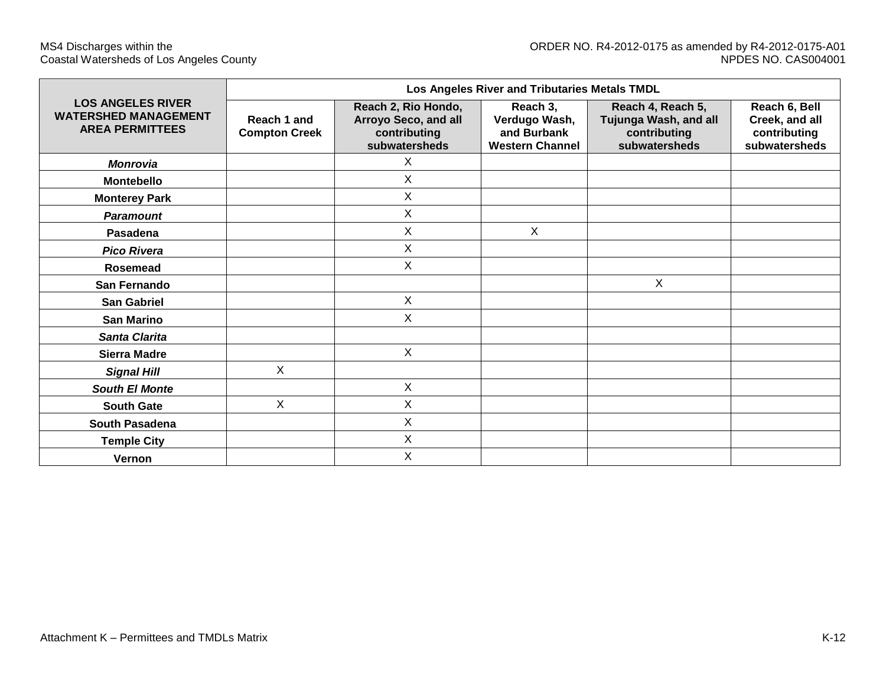|                                                                                   |                                     |                                                                              | Los Angeles River and Tributaries Metals TMDL                      |                                                                             |                                                                  |
|-----------------------------------------------------------------------------------|-------------------------------------|------------------------------------------------------------------------------|--------------------------------------------------------------------|-----------------------------------------------------------------------------|------------------------------------------------------------------|
| <b>LOS ANGELES RIVER</b><br><b>WATERSHED MANAGEMENT</b><br><b>AREA PERMITTEES</b> | Reach 1 and<br><b>Compton Creek</b> | Reach 2, Rio Hondo,<br>Arroyo Seco, and all<br>contributing<br>subwatersheds | Reach 3,<br>Verdugo Wash,<br>and Burbank<br><b>Western Channel</b> | Reach 4, Reach 5,<br>Tujunga Wash, and all<br>contributing<br>subwatersheds | Reach 6, Bell<br>Creek, and all<br>contributing<br>subwatersheds |
| <b>Monrovia</b>                                                                   |                                     | X                                                                            |                                                                    |                                                                             |                                                                  |
| Montebello                                                                        |                                     | X                                                                            |                                                                    |                                                                             |                                                                  |
| <b>Monterey Park</b>                                                              |                                     | X                                                                            |                                                                    |                                                                             |                                                                  |
| <b>Paramount</b>                                                                  |                                     | X                                                                            |                                                                    |                                                                             |                                                                  |
| Pasadena                                                                          |                                     | X                                                                            | X                                                                  |                                                                             |                                                                  |
| <b>Pico Rivera</b>                                                                |                                     | X                                                                            |                                                                    |                                                                             |                                                                  |
| Rosemead                                                                          |                                     | X                                                                            |                                                                    |                                                                             |                                                                  |
| San Fernando                                                                      |                                     |                                                                              |                                                                    | X                                                                           |                                                                  |
| <b>San Gabriel</b>                                                                |                                     | X                                                                            |                                                                    |                                                                             |                                                                  |
| <b>San Marino</b>                                                                 |                                     | X                                                                            |                                                                    |                                                                             |                                                                  |
| Santa Clarita                                                                     |                                     |                                                                              |                                                                    |                                                                             |                                                                  |
| <b>Sierra Madre</b>                                                               |                                     | X                                                                            |                                                                    |                                                                             |                                                                  |
| <b>Signal Hill</b>                                                                | X                                   |                                                                              |                                                                    |                                                                             |                                                                  |
| <b>South El Monte</b>                                                             |                                     | X                                                                            |                                                                    |                                                                             |                                                                  |
| <b>South Gate</b>                                                                 | X                                   | X                                                                            |                                                                    |                                                                             |                                                                  |
| South Pasadena                                                                    |                                     | $\mathsf{X}$                                                                 |                                                                    |                                                                             |                                                                  |
| <b>Temple City</b>                                                                |                                     | X                                                                            |                                                                    |                                                                             |                                                                  |
| Vernon                                                                            |                                     | X                                                                            |                                                                    |                                                                             |                                                                  |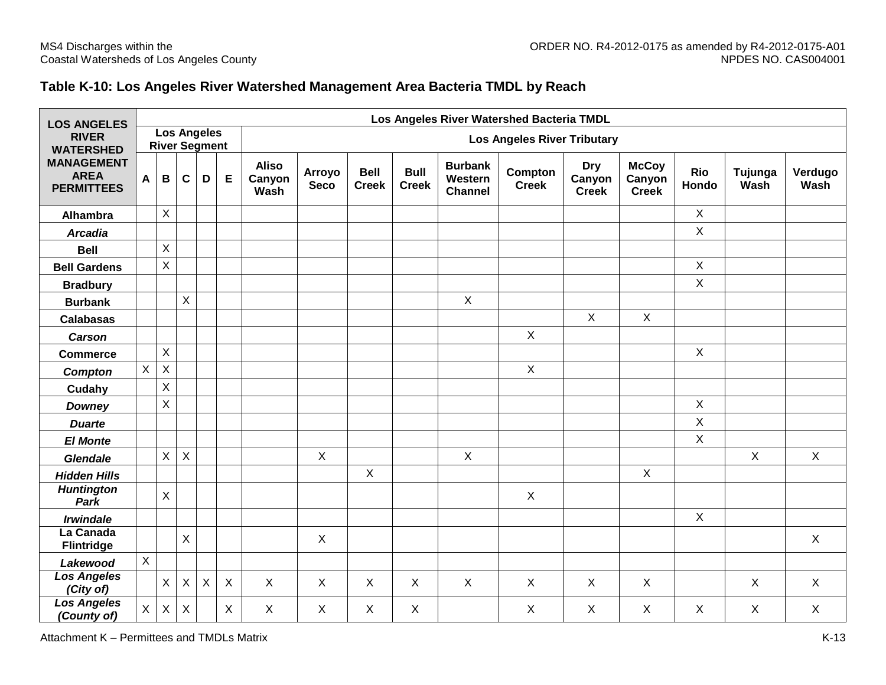## **Table K-10: Los Angeles River Watershed Management Area Bacteria TMDL by Reach**

| <b>LOS ANGELES</b>                                    |              |                |             |                                            |                           |                                | Los Angeles River Watershed Bacteria TMDL |                             |                             |                                             |                           |                                      |                                        |              |                 |                 |
|-------------------------------------------------------|--------------|----------------|-------------|--------------------------------------------|---------------------------|--------------------------------|-------------------------------------------|-----------------------------|-----------------------------|---------------------------------------------|---------------------------|--------------------------------------|----------------------------------------|--------------|-----------------|-----------------|
| <b>RIVER</b><br><b>WATERSHED</b>                      |              |                |             | <b>Los Angeles</b><br><b>River Segment</b> |                           |                                | <b>Los Angeles River Tributary</b>        |                             |                             |                                             |                           |                                      |                                        |              |                 |                 |
| <b>MANAGEMENT</b><br><b>AREA</b><br><b>PERMITTEES</b> | A            | $\mathbf B$    | $\mathbf c$ | D                                          | Е                         | <b>Aliso</b><br>Canyon<br>Wash | <b>Arroyo</b><br><b>Seco</b>              | <b>Bell</b><br><b>Creek</b> | <b>Bull</b><br><b>Creek</b> | <b>Burbank</b><br>Western<br><b>Channel</b> | Compton<br><b>Creek</b>   | <b>Dry</b><br>Canyon<br><b>Creek</b> | <b>McCoy</b><br>Canyon<br><b>Creek</b> | Rio<br>Hondo | Tujunga<br>Wash | Verdugo<br>Wash |
| <b>Alhambra</b>                                       |              | $\mathsf{X}$   |             |                                            |                           |                                |                                           |                             |                             |                                             |                           |                                      |                                        | $\mathsf{X}$ |                 |                 |
| <b>Arcadia</b>                                        |              |                |             |                                            |                           |                                |                                           |                             |                             |                                             |                           |                                      |                                        | $\mathsf{X}$ |                 |                 |
| <b>Bell</b>                                           |              | $\mathsf X$    |             |                                            |                           |                                |                                           |                             |                             |                                             |                           |                                      |                                        |              |                 |                 |
| <b>Bell Gardens</b>                                   |              | $\pmb{\times}$ |             |                                            |                           |                                |                                           |                             |                             |                                             |                           |                                      |                                        | $\mathsf{X}$ |                 |                 |
| <b>Bradbury</b>                                       |              |                |             |                                            |                           |                                |                                           |                             |                             |                                             |                           |                                      |                                        | $\mathsf{X}$ |                 |                 |
| <b>Burbank</b>                                        |              |                | X           |                                            |                           |                                |                                           |                             |                             | $\mathsf{X}$                                |                           |                                      |                                        |              |                 |                 |
| <b>Calabasas</b>                                      |              |                |             |                                            |                           |                                |                                           |                             |                             |                                             |                           | $\mathsf{X}$                         | $\sf X$                                |              |                 |                 |
| <b>Carson</b>                                         |              |                |             |                                            |                           |                                |                                           |                             |                             |                                             | $\mathsf X$               |                                      |                                        |              |                 |                 |
| <b>Commerce</b>                                       |              | $\mathsf X$    |             |                                            |                           |                                |                                           |                             |                             |                                             |                           |                                      |                                        | $\mathsf X$  |                 |                 |
| Compton                                               | X            | $\mathsf X$    |             |                                            |                           |                                |                                           |                             |                             |                                             | $\boldsymbol{\mathsf{X}}$ |                                      |                                        |              |                 |                 |
| Cudahy                                                |              | $\mathsf X$    |             |                                            |                           |                                |                                           |                             |                             |                                             |                           |                                      |                                        |              |                 |                 |
| <b>Downey</b>                                         |              | $\mathsf{X}$   |             |                                            |                           |                                |                                           |                             |                             |                                             |                           |                                      |                                        | $\mathsf{X}$ |                 |                 |
| <b>Duarte</b>                                         |              |                |             |                                            |                           |                                |                                           |                             |                             |                                             |                           |                                      |                                        | $\mathsf{X}$ |                 |                 |
| <b>El Monte</b>                                       |              |                |             |                                            |                           |                                |                                           |                             |                             |                                             |                           |                                      |                                        | $\mathsf X$  |                 |                 |
| <b>Glendale</b>                                       |              | $\mathsf X$    | X           |                                            |                           |                                | $\mathsf{X}$                              |                             |                             | $\mathsf{X}$                                |                           |                                      |                                        |              | $\sf X$         | $\mathsf{X}$    |
| <b>Hidden Hills</b>                                   |              |                |             |                                            |                           |                                |                                           | $\pmb{\times}$              |                             |                                             |                           |                                      | $\mathsf{X}$                           |              |                 |                 |
| <b>Huntington</b><br>Park                             |              | $\mathsf{X}$   |             |                                            |                           |                                |                                           |                             |                             |                                             | $\sf X$                   |                                      |                                        |              |                 |                 |
| <b>Irwindale</b>                                      |              |                |             |                                            |                           |                                |                                           |                             |                             |                                             |                           |                                      |                                        | X            |                 |                 |
| La Canada<br><b>Flintridge</b>                        |              |                | X           |                                            |                           |                                | $\mathsf{X}$                              |                             |                             |                                             |                           |                                      |                                        |              |                 | $\mathsf{X}$    |
| Lakewood                                              | $\mathsf{X}$ |                |             |                                            |                           |                                |                                           |                             |                             |                                             |                           |                                      |                                        |              |                 |                 |
| <b>Los Angeles</b><br>(City of)                       |              | $\mathsf{X}$   | X           | $\boldsymbol{\mathsf{X}}$                  | $\boldsymbol{\mathsf{X}}$ | $\sf X$                        | $\mathsf{X}$                              | X                           | $\sf X$                     | $\sf X$                                     | $\sf X$                   | $\mathsf{X}$                         | X                                      |              | $\sf X$         | $\mathsf{X}$    |
| <b>Los Angeles</b><br>(County of)                     | X            | $\pmb{\times}$ | X           |                                            | $\boldsymbol{\mathsf{X}}$ | X                              | $\mathsf{X}$                              | X                           | X                           |                                             | X                         | X                                    | X                                      | X            | X               | $\mathsf{X}$    |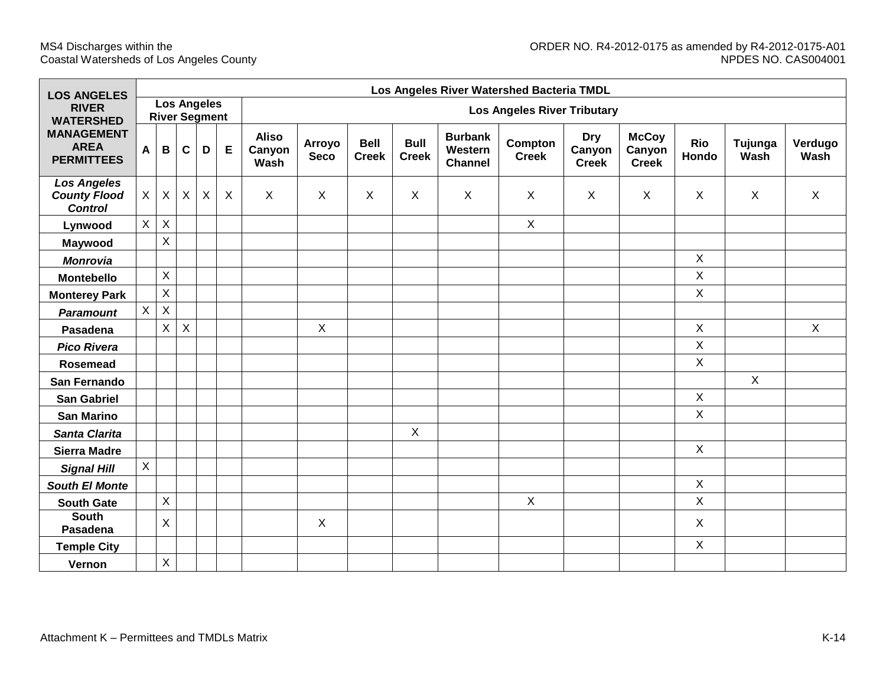| <b>LOS ANGELES</b>                                          |                |          |              |                                            |   |                                | Los Angeles River Watershed Bacteria TMDL |                             |                             |                                             |                         |                                      |                                        |                     |                 |                 |
|-------------------------------------------------------------|----------------|----------|--------------|--------------------------------------------|---|--------------------------------|-------------------------------------------|-----------------------------|-----------------------------|---------------------------------------------|-------------------------|--------------------------------------|----------------------------------------|---------------------|-----------------|-----------------|
| <b>RIVER</b><br><b>WATERSHED</b>                            |                |          |              | <b>Los Angeles</b><br><b>River Segment</b> |   |                                | <b>Los Angeles River Tributary</b>        |                             |                             |                                             |                         |                                      |                                        |                     |                 |                 |
| <b>MANAGEMENT</b><br><b>AREA</b><br><b>PERMITTEES</b>       | A              | B        | $\mathbf{C}$ | D                                          | E | <b>Aliso</b><br>Canyon<br>Wash | Arroyo<br><b>Seco</b>                     | <b>Bell</b><br><b>Creek</b> | <b>Bull</b><br><b>Creek</b> | <b>Burbank</b><br>Western<br><b>Channel</b> | Compton<br><b>Creek</b> | <b>Dry</b><br>Canyon<br><b>Creek</b> | <b>McCoy</b><br>Canyon<br><b>Creek</b> | <b>Rio</b><br>Hondo | Tujunga<br>Wash | Verdugo<br>Wash |
| <b>Los Angeles</b><br><b>County Flood</b><br><b>Control</b> | $\mathsf X$    | X        | $\mathsf{X}$ | X                                          | X | $\mathsf{X}$                   | X                                         | $\sf X$                     | $\sf X$                     | $\mathsf{X}$                                | $\sf X$                 | X                                    | $\mathsf{X}$                           | X                   | X               | X               |
| Lynwood                                                     | $\mathsf{X}$   | X        |              |                                            |   |                                |                                           |                             |                             |                                             | $\mathsf{X}$            |                                      |                                        |                     |                 |                 |
| Maywood                                                     |                | $\sf X$  |              |                                            |   |                                |                                           |                             |                             |                                             |                         |                                      |                                        |                     |                 |                 |
| <b>Monrovia</b>                                             |                |          |              |                                            |   |                                |                                           |                             |                             |                                             |                         |                                      |                                        | $\mathsf{X}$        |                 |                 |
| <b>Montebello</b>                                           |                | X        |              |                                            |   |                                |                                           |                             |                             |                                             |                         |                                      |                                        | $\mathsf{X}$        |                 |                 |
| <b>Monterey Park</b>                                        |                | X        |              |                                            |   |                                |                                           |                             |                             |                                             |                         |                                      |                                        | $\mathsf{X}$        |                 |                 |
| <b>Paramount</b>                                            | $\mathsf{X}$   | $\sf X$  |              |                                            |   |                                |                                           |                             |                             |                                             |                         |                                      |                                        |                     |                 |                 |
| Pasadena                                                    |                | X        | $\mathsf{X}$ |                                            |   |                                | $\mathsf{X}$                              |                             |                             |                                             |                         |                                      |                                        | X                   |                 | $\mathsf{X}$    |
| <b>Pico Rivera</b>                                          |                |          |              |                                            |   |                                |                                           |                             |                             |                                             |                         |                                      |                                        | $\pmb{\times}$      |                 |                 |
| <b>Rosemead</b>                                             |                |          |              |                                            |   |                                |                                           |                             |                             |                                             |                         |                                      |                                        | $\mathsf{X}$        |                 |                 |
| San Fernando                                                |                |          |              |                                            |   |                                |                                           |                             |                             |                                             |                         |                                      |                                        |                     | $\sf X$         |                 |
| <b>San Gabriel</b>                                          |                |          |              |                                            |   |                                |                                           |                             |                             |                                             |                         |                                      |                                        | X                   |                 |                 |
| <b>San Marino</b>                                           |                |          |              |                                            |   |                                |                                           |                             |                             |                                             |                         |                                      |                                        | $\mathsf{X}$        |                 |                 |
| Santa Clarita                                               |                |          |              |                                            |   |                                |                                           |                             | $\mathsf{X}$                |                                             |                         |                                      |                                        |                     |                 |                 |
| <b>Sierra Madre</b>                                         |                |          |              |                                            |   |                                |                                           |                             |                             |                                             |                         |                                      |                                        | $\mathsf{X}$        |                 |                 |
| <b>Signal Hill</b>                                          | $\overline{X}$ |          |              |                                            |   |                                |                                           |                             |                             |                                             |                         |                                      |                                        |                     |                 |                 |
| <b>South El Monte</b>                                       |                |          |              |                                            |   |                                |                                           |                             |                             |                                             |                         |                                      |                                        | X                   |                 |                 |
| <b>South Gate</b>                                           |                | X        |              |                                            |   |                                |                                           |                             |                             |                                             | $\mathsf X$             |                                      |                                        | $\mathsf X$         |                 |                 |
| <b>South</b><br>Pasadena                                    |                | $\times$ |              |                                            |   |                                | $\sf X$                                   |                             |                             |                                             |                         |                                      |                                        | X                   |                 |                 |
| <b>Temple City</b>                                          |                |          |              |                                            |   |                                |                                           |                             |                             |                                             |                         |                                      |                                        | $\mathsf{X}$        |                 |                 |
| Vernon                                                      |                | X        |              |                                            |   |                                |                                           |                             |                             |                                             |                         |                                      |                                        |                     |                 |                 |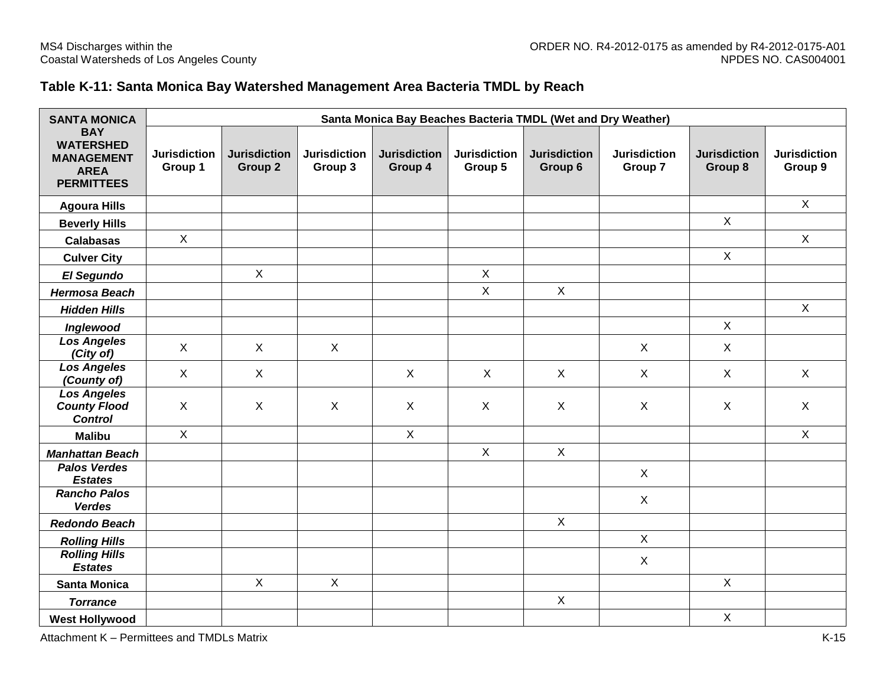## **Table K-11: Santa Monica Bay Watershed Management Area Bacteria TMDL by Reach**

| <b>SANTA MONICA</b>                                                                     | Santa Monica Bay Beaches Bacteria TMDL (Wet and Dry Weather) |                                |                                |                                |                                |                                |                                |                                |                                |  |  |  |
|-----------------------------------------------------------------------------------------|--------------------------------------------------------------|--------------------------------|--------------------------------|--------------------------------|--------------------------------|--------------------------------|--------------------------------|--------------------------------|--------------------------------|--|--|--|
| <b>BAY</b><br><b>WATERSHED</b><br><b>MANAGEMENT</b><br><b>AREA</b><br><b>PERMITTEES</b> | <b>Jurisdiction</b><br>Group 1                               | <b>Jurisdiction</b><br>Group 2 | <b>Jurisdiction</b><br>Group 3 | <b>Jurisdiction</b><br>Group 4 | <b>Jurisdiction</b><br>Group 5 | <b>Jurisdiction</b><br>Group 6 | <b>Jurisdiction</b><br>Group 7 | <b>Jurisdiction</b><br>Group 8 | <b>Jurisdiction</b><br>Group 9 |  |  |  |
| <b>Agoura Hills</b>                                                                     |                                                              |                                |                                |                                |                                |                                |                                |                                | $\mathsf{X}$                   |  |  |  |
| <b>Beverly Hills</b>                                                                    |                                                              |                                |                                |                                |                                |                                |                                | $\mathsf{X}$                   |                                |  |  |  |
| <b>Calabasas</b>                                                                        | $\mathsf{X}$                                                 |                                |                                |                                |                                |                                |                                |                                | $\mathsf{X}$                   |  |  |  |
| <b>Culver City</b>                                                                      |                                                              |                                |                                |                                |                                |                                |                                | $\mathsf{X}$                   |                                |  |  |  |
| El Segundo                                                                              |                                                              | $\mathsf{X}$                   |                                |                                | $\pmb{\times}$                 |                                |                                |                                |                                |  |  |  |
| <b>Hermosa Beach</b>                                                                    |                                                              |                                |                                |                                | $\mathsf X$                    | $\mathsf{X}$                   |                                |                                |                                |  |  |  |
| <b>Hidden Hills</b>                                                                     |                                                              |                                |                                |                                |                                |                                |                                |                                | $\mathsf{X}$                   |  |  |  |
| Inglewood                                                                               |                                                              |                                |                                |                                |                                |                                |                                | $\mathsf{X}$                   |                                |  |  |  |
| <b>Los Angeles</b><br>(City of)                                                         | $\mathsf{X}$                                                 | $\mathsf{X}$                   | $\mathsf{X}$                   |                                |                                |                                | $\mathsf{X}$                   | $\sf X$                        |                                |  |  |  |
| <b>Los Angeles</b><br>(County of)                                                       | $\mathsf{X}$                                                 | $\mathsf{X}$                   |                                | $\mathsf{X}$                   | $\sf X$                        | $\mathsf{X}$                   | $\mathsf{X}$                   | $\mathsf{X}$                   | $\mathsf{X}$                   |  |  |  |
| <b>Los Angeles</b><br><b>County Flood</b><br><b>Control</b>                             | $\mathsf{X}$                                                 | $\pmb{\times}$                 | $\mathsf{X}$                   | X                              | X                              | X                              | X                              | $\sf X$                        | $\mathsf{X}$                   |  |  |  |
| <b>Malibu</b>                                                                           | $\mathsf{X}$                                                 |                                |                                | $\pmb{\times}$                 |                                |                                |                                |                                | $\mathsf{X}$                   |  |  |  |
| <b>Manhattan Beach</b>                                                                  |                                                              |                                |                                |                                | $\mathsf{X}$                   | $\mathsf{X}$                   |                                |                                |                                |  |  |  |
| <b>Palos Verdes</b><br><b>Estates</b>                                                   |                                                              |                                |                                |                                |                                |                                | $\sf X$                        |                                |                                |  |  |  |
| <b>Rancho Palos</b><br><b>Verdes</b>                                                    |                                                              |                                |                                |                                |                                |                                | $\sf X$                        |                                |                                |  |  |  |
| <b>Redondo Beach</b>                                                                    |                                                              |                                |                                |                                |                                | $\mathsf{X}$                   |                                |                                |                                |  |  |  |
| <b>Rolling Hills</b>                                                                    |                                                              |                                |                                |                                |                                |                                | $\mathsf{X}$                   |                                |                                |  |  |  |
| <b>Rolling Hills</b><br><b>Estates</b>                                                  |                                                              |                                |                                |                                |                                |                                | $\mathsf{X}$                   |                                |                                |  |  |  |
| <b>Santa Monica</b>                                                                     |                                                              | $\mathsf{X}$                   | $\mathsf{X}$                   |                                |                                |                                |                                | $\mathsf{X}$                   |                                |  |  |  |
| <b>Torrance</b>                                                                         |                                                              |                                |                                |                                |                                | $\mathsf{X}$                   |                                |                                |                                |  |  |  |
| <b>West Hollywood</b>                                                                   |                                                              |                                |                                |                                |                                |                                |                                | $\mathsf X$                    |                                |  |  |  |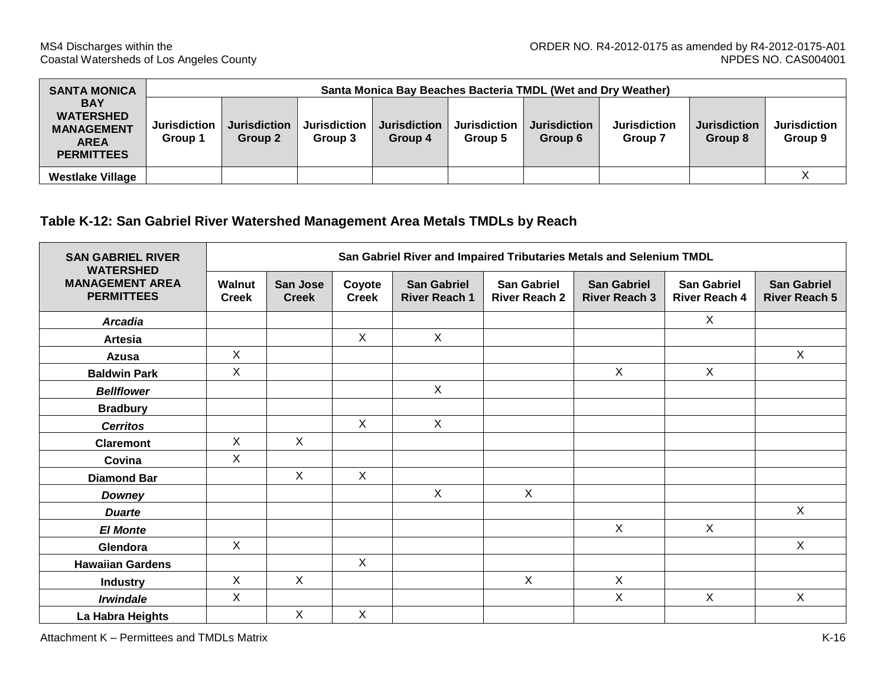| <b>SANTA MONICA</b>                                                                     |                                | Santa Monica Bay Beaches Bacteria TMDL (Wet and Dry Weather) |                                |                                |                                |                                |                                |                                |                                |  |  |  |  |  |
|-----------------------------------------------------------------------------------------|--------------------------------|--------------------------------------------------------------|--------------------------------|--------------------------------|--------------------------------|--------------------------------|--------------------------------|--------------------------------|--------------------------------|--|--|--|--|--|
| <b>BAY</b><br><b>WATERSHED</b><br><b>MANAGEMENT</b><br><b>AREA</b><br><b>PERMITTEES</b> | <b>Jurisdiction</b><br>Group 1 | <b>Jurisdiction</b><br>Group 2                               | <b>Jurisdiction</b><br>Group 3 | <b>Jurisdiction</b><br>Group 4 | <b>Jurisdiction</b><br>Group 5 | <b>Jurisdiction</b><br>Group 6 | <b>Jurisdiction</b><br>Group 7 | <b>Jurisdiction</b><br>Group 8 | <b>Jurisdiction</b><br>Group 9 |  |  |  |  |  |
| <b>Westlake Village</b>                                                                 |                                |                                                              |                                |                                |                                |                                |                                |                                |                                |  |  |  |  |  |

#### **Table K-12: San Gabriel River Watershed Management Area Metals TMDLs by Reach**

| <b>SAN GABRIEL RIVER</b><br><b>WATERSHED</b> | San Gabriel River and Impaired Tributaries Metals and Selenium TMDL |                                 |                        |                                            |                                     |                                            |                                            |                                            |  |  |  |  |
|----------------------------------------------|---------------------------------------------------------------------|---------------------------------|------------------------|--------------------------------------------|-------------------------------------|--------------------------------------------|--------------------------------------------|--------------------------------------------|--|--|--|--|
| <b>MANAGEMENT AREA</b><br><b>PERMITTEES</b>  | <b>Walnut</b><br><b>Creek</b>                                       | <b>San Jose</b><br><b>Creek</b> | Coyote<br><b>Creek</b> | <b>San Gabriel</b><br><b>River Reach 1</b> | San Gabriel<br><b>River Reach 2</b> | <b>San Gabriel</b><br><b>River Reach 3</b> | <b>San Gabriel</b><br><b>River Reach 4</b> | <b>San Gabriel</b><br><b>River Reach 5</b> |  |  |  |  |
| <b>Arcadia</b>                               |                                                                     |                                 |                        |                                            |                                     |                                            | $\mathsf{X}$                               |                                            |  |  |  |  |
| <b>Artesia</b>                               |                                                                     |                                 | $\mathsf{X}$           | $\mathsf{X}$                               |                                     |                                            |                                            |                                            |  |  |  |  |
| Azusa                                        | $\mathsf{X}$                                                        |                                 |                        |                                            |                                     |                                            |                                            | X                                          |  |  |  |  |
| <b>Baldwin Park</b>                          | $\mathsf{X}$                                                        |                                 |                        |                                            |                                     | $\mathsf{X}$                               | $\mathsf{X}$                               |                                            |  |  |  |  |
| <b>Bellflower</b>                            |                                                                     |                                 |                        | $\mathsf{X}$                               |                                     |                                            |                                            |                                            |  |  |  |  |
| <b>Bradbury</b>                              |                                                                     |                                 |                        |                                            |                                     |                                            |                                            |                                            |  |  |  |  |
| <b>Cerritos</b>                              |                                                                     |                                 | $\mathsf{X}$           | $\mathsf{X}$                               |                                     |                                            |                                            |                                            |  |  |  |  |
| <b>Claremont</b>                             | X                                                                   | $\mathsf{X}$                    |                        |                                            |                                     |                                            |                                            |                                            |  |  |  |  |
| Covina                                       | $\mathsf{X}$                                                        |                                 |                        |                                            |                                     |                                            |                                            |                                            |  |  |  |  |
| <b>Diamond Bar</b>                           |                                                                     | X                               | $\mathsf{X}$           |                                            |                                     |                                            |                                            |                                            |  |  |  |  |
| Downey                                       |                                                                     |                                 |                        | X                                          | $\mathsf{X}$                        |                                            |                                            |                                            |  |  |  |  |
| <b>Duarte</b>                                |                                                                     |                                 |                        |                                            |                                     |                                            |                                            | $\mathsf{X}$                               |  |  |  |  |
| <b>El Monte</b>                              |                                                                     |                                 |                        |                                            |                                     | $\mathsf{X}$                               | $\mathsf{X}$                               |                                            |  |  |  |  |
| Glendora                                     | $\mathsf{X}$                                                        |                                 |                        |                                            |                                     |                                            |                                            | $\mathsf{X}$                               |  |  |  |  |
| <b>Hawaiian Gardens</b>                      |                                                                     |                                 | X                      |                                            |                                     |                                            |                                            |                                            |  |  |  |  |
| <b>Industry</b>                              | $\sf X$                                                             | $\mathsf{X}$                    |                        |                                            | $\sf X$                             | X                                          |                                            |                                            |  |  |  |  |
| <b>Irwindale</b>                             | $\pmb{\times}$                                                      |                                 |                        |                                            |                                     | $\mathsf{X}$                               | $\mathsf{X}$                               | $\mathsf{X}$                               |  |  |  |  |
| La Habra Heights                             |                                                                     | X                               | X                      |                                            |                                     |                                            |                                            |                                            |  |  |  |  |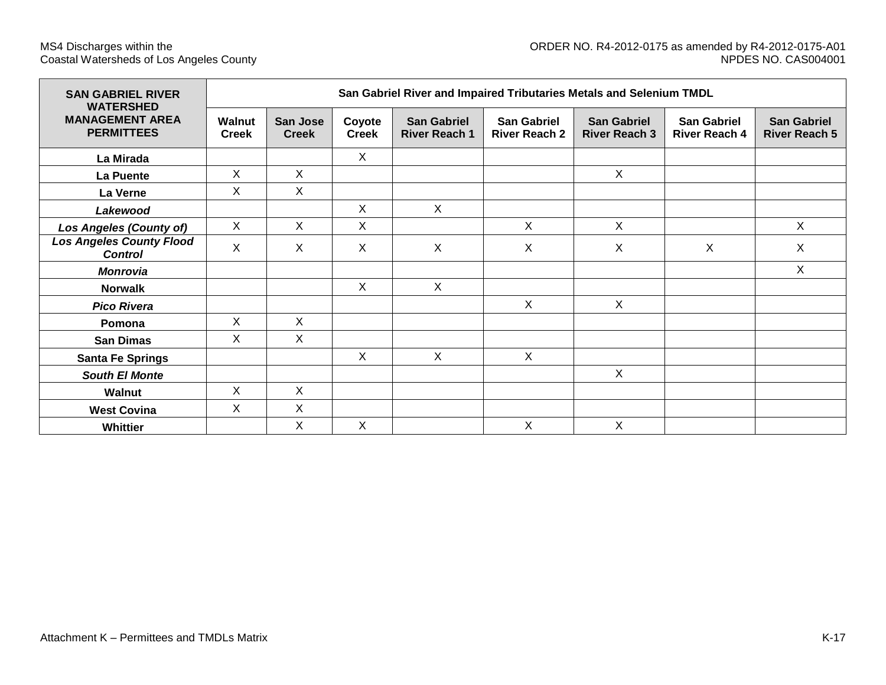| <b>SAN GABRIEL RIVER</b><br><b>WATERSHED</b>      | San Gabriel River and Impaired Tributaries Metals and Selenium TMDL |                                 |                        |                                            |                                            |                                            |                                            |                                            |  |  |  |  |  |
|---------------------------------------------------|---------------------------------------------------------------------|---------------------------------|------------------------|--------------------------------------------|--------------------------------------------|--------------------------------------------|--------------------------------------------|--------------------------------------------|--|--|--|--|--|
| <b>MANAGEMENT AREA</b><br><b>PERMITTEES</b>       | <b>Walnut</b><br><b>Creek</b>                                       | <b>San Jose</b><br><b>Creek</b> | Coyote<br><b>Creek</b> | <b>San Gabriel</b><br><b>River Reach 1</b> | <b>San Gabriel</b><br><b>River Reach 2</b> | <b>San Gabriel</b><br><b>River Reach 3</b> | <b>San Gabriel</b><br><b>River Reach 4</b> | <b>San Gabriel</b><br><b>River Reach 5</b> |  |  |  |  |  |
| La Mirada                                         |                                                                     |                                 | X                      |                                            |                                            |                                            |                                            |                                            |  |  |  |  |  |
| La Puente                                         | X                                                                   | X                               |                        |                                            |                                            | X                                          |                                            |                                            |  |  |  |  |  |
| La Verne                                          | X                                                                   | X                               |                        |                                            |                                            |                                            |                                            |                                            |  |  |  |  |  |
| Lakewood                                          |                                                                     |                                 | X                      | $\mathsf{X}$                               |                                            |                                            |                                            |                                            |  |  |  |  |  |
| <b>Los Angeles (County of)</b>                    | X                                                                   | X                               | X                      |                                            | $\sf X$                                    | X                                          |                                            | $\sf X$                                    |  |  |  |  |  |
| <b>Los Angeles County Flood</b><br><b>Control</b> | X                                                                   | X                               | X                      | $\mathsf{X}$                               | X                                          | $\mathsf{X}$                               | X                                          | X                                          |  |  |  |  |  |
| <b>Monrovia</b>                                   |                                                                     |                                 |                        |                                            |                                            |                                            |                                            | $\sf X$                                    |  |  |  |  |  |
| <b>Norwalk</b>                                    |                                                                     |                                 | $\mathsf{X}$           | $\mathsf{X}$                               |                                            |                                            |                                            |                                            |  |  |  |  |  |
| <b>Pico Rivera</b>                                |                                                                     |                                 |                        |                                            | $\sf X$                                    | $\mathsf{X}$                               |                                            |                                            |  |  |  |  |  |
| Pomona                                            | X                                                                   | $\sf X$                         |                        |                                            |                                            |                                            |                                            |                                            |  |  |  |  |  |
| <b>San Dimas</b>                                  | X                                                                   | X                               |                        |                                            |                                            |                                            |                                            |                                            |  |  |  |  |  |
| <b>Santa Fe Springs</b>                           |                                                                     |                                 | X                      | X                                          | $\sf X$                                    |                                            |                                            |                                            |  |  |  |  |  |
| <b>South El Monte</b>                             |                                                                     |                                 |                        |                                            |                                            | X                                          |                                            |                                            |  |  |  |  |  |
| Walnut                                            | $\mathsf{X}$                                                        | $\pmb{\times}$                  |                        |                                            |                                            |                                            |                                            |                                            |  |  |  |  |  |
| <b>West Covina</b>                                | $\mathsf{X}$                                                        | X                               |                        |                                            |                                            |                                            |                                            |                                            |  |  |  |  |  |
| <b>Whittier</b>                                   |                                                                     | X                               | $\mathsf{X}$           |                                            | X                                          | X                                          |                                            |                                            |  |  |  |  |  |